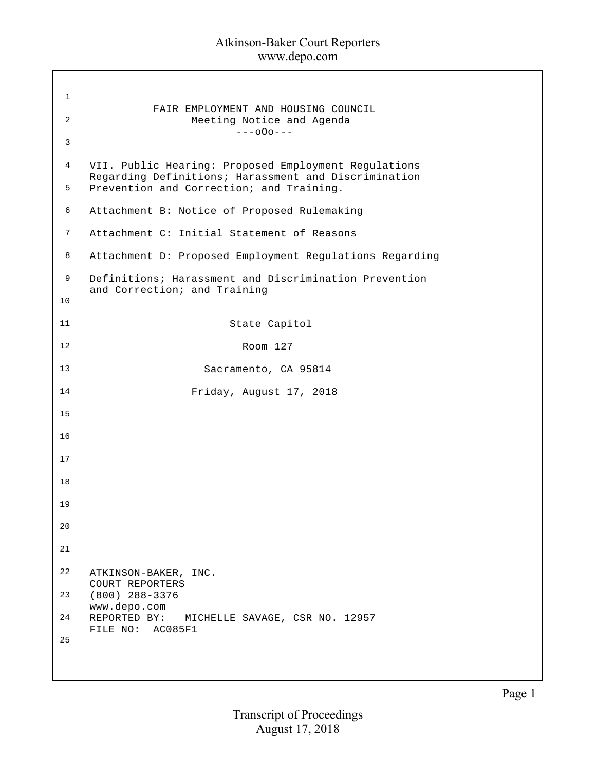$\bar{z}$ 

| $\mathbf 1$ |                                                                                                              |
|-------------|--------------------------------------------------------------------------------------------------------------|
| 2           | FAIR EMPLOYMENT AND HOUSING COUNCIL<br>Meeting Notice and Agenda<br>$---000---$                              |
| 3           |                                                                                                              |
| 4           | VII. Public Hearing: Proposed Employment Regulations<br>Regarding Definitions; Harassment and Discrimination |
| 5           | Prevention and Correction; and Training.                                                                     |
| 6           | Attachment B: Notice of Proposed Rulemaking                                                                  |
| 7           | Attachment C: Initial Statement of Reasons                                                                   |
| 8           | Attachment D: Proposed Employment Regulations Regarding                                                      |
| 9           | Definitions; Harassment and Discrimination Prevention<br>and Correction; and Training                        |
| 10          |                                                                                                              |
| 11          | State Capitol                                                                                                |
| 12          | Room 127                                                                                                     |
| 13          | Sacramento, CA 95814                                                                                         |
| 14          | Friday, August 17, 2018                                                                                      |
| 15          |                                                                                                              |
| 16          |                                                                                                              |
| 17          |                                                                                                              |
| 18          |                                                                                                              |
| 19          |                                                                                                              |
| 20          |                                                                                                              |
| 21          |                                                                                                              |
| 22          | ATKINSON-BAKER, INC.                                                                                         |
| 23          | COURT REPORTERS<br>$(800)$ 288-3376                                                                          |
| 24          | www.depo.com<br>REPORTED BY: MICHELLE SAVAGE, CSR NO. 12957                                                  |
| 25          | FILE NO: AC085F1                                                                                             |
|             |                                                                                                              |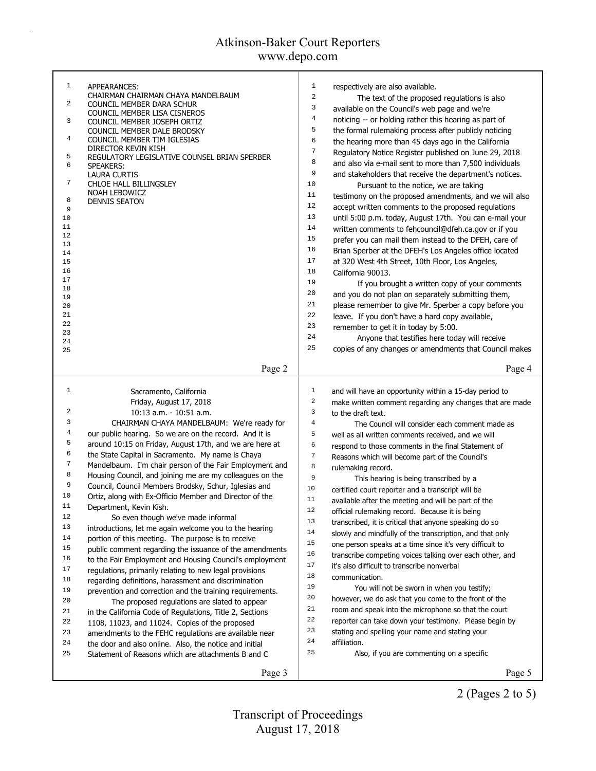# Atkinson-Baker Court Reporters

www.depo.com

| $\mathbf{1}$     | APPEARANCES:                                                | $\mathbf{1}$<br>respectively are also available.                      |
|------------------|-------------------------------------------------------------|-----------------------------------------------------------------------|
|                  | CHAIRMAN CHAIRMAN CHAYA MANDELBAUM                          | $\overline{a}$<br>The text of the proposed regulations is also        |
| 2                | COUNCIL MEMBER DARA SCHUR                                   | 3<br>available on the Council's web page and we're                    |
| 3                | COUNCIL MEMBER LISA CISNEROS<br>COUNCIL MEMBER JOSEPH ORTIZ | 4<br>noticing -- or holding rather this hearing as part of            |
|                  | COUNCIL MEMBER DALE BRODSKY                                 | 5<br>the formal rulemaking process after publicly noticing            |
| 4                | COUNCIL MEMBER TIM IGLESIAS                                 | 6<br>the hearing more than 45 days ago in the California              |
|                  | DIRECTOR KEVIN KISH                                         | $\sqrt{ }$<br>Regulatory Notice Register published on June 29, 2018   |
| 5<br>6           | REGULATORY LEGISLATIVE COUNSEL BRIAN SPERBER                | 8<br>and also via e-mail sent to more than 7,500 individuals          |
|                  | SPEAKERS:<br><b>LAURA CURTIS</b>                            | 9<br>and stakeholders that receive the department's notices.          |
| 7                | CHLOE HALL BILLINGSLEY                                      | 10<br>Pursuant to the notice, we are taking                           |
|                  | NOAH LEBOWICZ                                               | 11                                                                    |
| 8                | DENNIS SEATON                                               | testimony on the proposed amendments, and we will also<br>12          |
| 9                |                                                             | accept written comments to the proposed regulations<br>13             |
| 10<br>11         |                                                             | until 5:00 p.m. today, August 17th. You can e-mail your               |
| 12               |                                                             | 14<br>written comments to fehcouncil@dfeh.ca.gov or if you            |
| 13               |                                                             | 15<br>prefer you can mail them instead to the DFEH, care of           |
| 14               |                                                             | 16<br>Brian Sperber at the DFEH's Los Angeles office located          |
| 15               |                                                             | $17$<br>at 320 West 4th Street, 10th Floor, Los Angeles,              |
| 16               |                                                             | 18<br>California 90013.                                               |
| 17<br>18         |                                                             | 19<br>If you brought a written copy of your comments                  |
| 19               |                                                             | 20<br>and you do not plan on separately submitting them,              |
| 20               |                                                             | 21<br>please remember to give Mr. Sperber a copy before you           |
| 21               |                                                             | 22<br>leave. If you don't have a hard copy available,                 |
| 22               |                                                             | 23<br>remember to get it in today by 5:00.                            |
| 23<br>24         |                                                             | 24<br>Anyone that testifies here today will receive                   |
| 25               |                                                             | 25<br>copies of any changes or amendments that Council makes          |
|                  |                                                             |                                                                       |
|                  | Page 2                                                      | Page 4                                                                |
|                  |                                                             |                                                                       |
| 1                | Sacramento, California                                      | $\mathbf 1$<br>and will have an opportunity within a 15-day period to |
|                  | Friday, August 17, 2018                                     | $\,2$<br>make written comment regarding any changes that are made     |
| 2                | 10:13 a.m. - 10:51 a.m.                                     | $\overline{3}$<br>to the draft text.                                  |
| 3                | CHAIRMAN CHAYA MANDELBAUM: We're ready for                  | $\,4$<br>The Council will consider each comment made as               |
| 4                | our public hearing. So we are on the record. And it is      | 5<br>well as all written comments received, and we will               |
| 5                | around 10:15 on Friday, August 17th, and we are here at     | 6<br>respond to those comments in the final Statement of              |
| 6                | the State Capital in Sacramento. My name is Chaya           | 7<br>Reasons which will become part of the Council's                  |
| $\boldsymbol{7}$ | Mandelbaum. I'm chair person of the Fair Employment and     | 8<br>rulemaking record.                                               |
| 8                | Housing Council, and joining me are my colleagues on the    | 9<br>This hearing is being transcribed by a                           |
| 9                | Council, Council Members Brodsky, Schur, Iglesias and       | $10$<br>certified court reporter and a transcript will be             |
| 10               | Ortiz, along with Ex-Officio Member and Director of the     | 11<br>available after the meeting and will be part of the             |
| 11               | Department, Kevin Kish.                                     | $1\,2$<br>official rulemaking record. Because it is being             |
| 12               | So even though we've made informal                          | 13<br>transcribed, it is critical that anyone speaking do so          |
| 13               | introductions, let me again welcome you to the hearing      | 14<br>slowly and mindfully of the transcription, and that only        |
| 14               | portion of this meeting. The purpose is to receive          | 15<br>one person speaks at a time since it's very difficult to        |
| 15               | public comment regarding the issuance of the amendments     | 16<br>transcribe competing voices talking over each other, and        |
| 16               | to the Fair Employment and Housing Council's employment     | 17<br>it's also difficult to transcribe nonverbal                     |
| 17               | regulations, primarily relating to new legal provisions     | $1\,8$<br>communication.                                              |
| 18               | regarding definitions, harassment and discrimination        | 19                                                                    |
| 19               | prevention and correction and the training requirements.    | You will not be sworn in when you testify;<br>20                      |
|                  | The proposed regulations are slated to appear               | however, we do ask that you come to the front of the<br>21            |
| 20               | in the California Code of Regulations, Title 2, Sections    | room and speak into the microphone so that the court                  |
| 21               |                                                             |                                                                       |
| 22               | 1108, 11023, and 11024. Copies of the proposed              | 22<br>reporter can take down your testimony. Please begin by          |
| 23               | amendments to the FEHC regulations are available near       | 23<br>stating and spelling your name and stating your                 |
| 24               | the door and also online. Also, the notice and initial      | 24<br>affiliation.                                                    |
| 25               | Statement of Reasons which are attachments B and C          | 25<br>Also, if you are commenting on a specific                       |
|                  | Page 3                                                      | Page 5                                                                |

2 (Pages 2 to 5)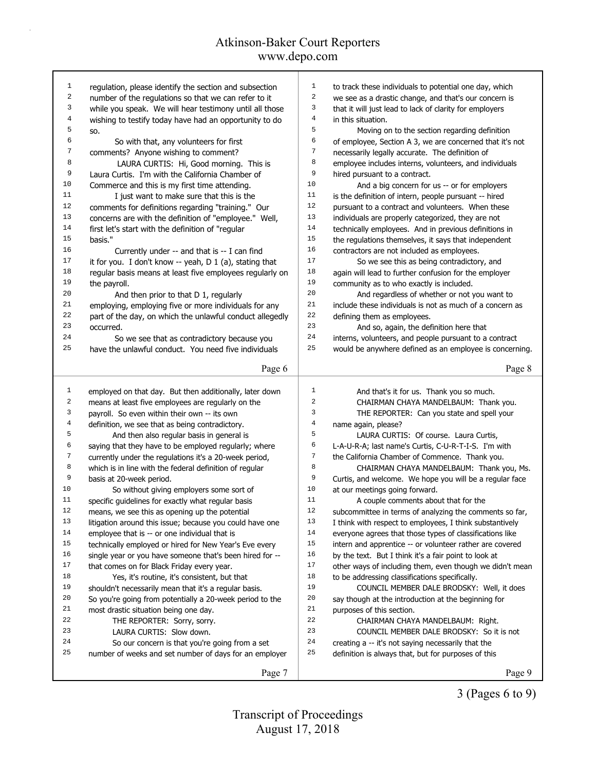| 1                       | regulation, please identify the section and subsection   | $\mathbf{1}$   | to track these individuals to potential one day, which   |
|-------------------------|----------------------------------------------------------|----------------|----------------------------------------------------------|
| $\overline{\mathbf{c}}$ | number of the regulations so that we can refer to it     | 2              | we see as a drastic change, and that's our concern is    |
| 3                       | while you speak. We will hear testimony until all those  | 3              | that it will just lead to lack of clarity for employers  |
| 4                       | wishing to testify today have had an opportunity to do   | $\overline{4}$ | in this situation.                                       |
| 5                       | SO.                                                      | 5              | Moving on to the section regarding definition            |
| 6                       | So with that, any volunteers for first                   | 6              | of employee, Section A 3, we are concerned that it's not |
| 7                       | comments? Anyone wishing to comment?                     | 7              | necessarily legally accurate. The definition of          |
| 8                       | LAURA CURTIS: Hi, Good morning. This is                  | 8              | employee includes interns, volunteers, and individuals   |
| 9                       | Laura Curtis. I'm with the California Chamber of         | 9              | hired pursuant to a contract.                            |
| 10                      | Commerce and this is my first time attending.            | 10             | And a big concern for us -- or for employers             |
| 11                      | I just want to make sure that this is the                | 11             | is the definition of intern, people pursuant -- hired    |
| 12                      | comments for definitions regarding "training." Our       | 12             | pursuant to a contract and volunteers. When these        |
| 13                      | concerns are with the definition of "employee." Well,    | 13             | individuals are properly categorized, they are not       |
| 14                      | first let's start with the definition of "regular        | 14             | technically employees. And in previous definitions in    |
| 15                      | basis."                                                  | 15             | the regulations themselves, it says that independent     |
| 16                      | Currently under -- and that is -- I can find             | 16             | contractors are not included as employees.               |
| 17                      | it for you. I don't know -- yeah, D 1 (a), stating that  | 17             | So we see this as being contradictory, and               |
| $1\,8$                  | regular basis means at least five employees regularly on | 18             | again will lead to further confusion for the employer    |
| 19                      | the payroll.                                             | 19             | community as to who exactly is included.                 |
| 20                      | And then prior to that D 1, regularly                    | 20             | And regardless of whether or not you want to             |
| $2\sqrt{1}$             | employing, employing five or more individuals for any    | 21             | include these individuals is not as much of a concern as |
| 22                      | part of the day, on which the unlawful conduct allegedly | 22             | defining them as employees.                              |
| 23                      | occurred.                                                | 23             | And so, again, the definition here that                  |
| 24                      | So we see that as contradictory because you              | 24             | interns, volunteers, and people pursuant to a contract   |
| 25                      | have the unlawful conduct. You need five individuals     | 25             | would be anywhere defined as an employee is concerning.  |
|                         |                                                          |                |                                                          |
|                         | Page 6                                                   |                | Page 8                                                   |
|                         |                                                          |                |                                                          |
| $\mathbf{1}$            | employed on that day. But then additionally, later down  | $\mathbf{1}$   | And that's it for us. Thank you so much.                 |
| $\sqrt{2}$              | means at least five employees are regularly on the       | 2              | CHAIRMAN CHAYA MANDELBAUM: Thank you.                    |
| 3                       | payroll. So even within their own -- its own             | 3              | THE REPORTER: Can you state and spell your               |
| $\overline{4}$          | definition, we see that as being contradictory.          | 4              | name again, please?                                      |
| 5                       | And then also regular basis in general is                | 5              | LAURA CURTIS: Of course. Laura Curtis,                   |
| 6                       | saying that they have to be employed regularly; where    | 6              | L-A-U-R-A; last name's Curtis, C-U-R-T-I-S. I'm with     |
| $\sqrt{ }$              | currently under the regulations it's a 20-week period,   | $\sqrt{ }$     | the California Chamber of Commence. Thank you.           |
| 8                       | which is in line with the federal definition of regular  | 8              | CHAIRMAN CHAYA MANDELBAUM: Thank you, Ms.                |
| 9                       | basis at 20-week period.                                 | 9              | Curtis, and welcome. We hope you will be a regular face  |
| 10                      | So without giving employers some sort of                 | 10             | at our meetings going forward.                           |
| 11                      | specific guidelines for exactly what regular basis       | $1\,1$         | A couple comments about that for the                     |
| 12                      | means, we see this as opening up the potential           | 12             | subcommittee in terms of analyzing the comments so far,  |
| 13                      | litigation around this issue; because you could have one | 13             | I think with respect to employees, I think substantively |
| 14                      | employee that is -- or one individual that is            | 14             | everyone agrees that those types of classifications like |
| 15                      | technically employed or hired for New Year's Eve every   | 15             | intern and apprentice -- or volunteer rather are covered |
| 16                      | single year or you have someone that's been hired for -- | 16             | by the text. But I think it's a fair point to look at    |
| 17                      | that comes on for Black Friday every year.               | 17             | other ways of including them, even though we didn't mean |
| 18                      | Yes, it's routine, it's consistent, but that             | 18             | to be addressing classifications specifically.           |
| 19                      |                                                          | 19             |                                                          |
| 20                      | shouldn't necessarily mean that it's a regular basis.    | 20             | COUNCIL MEMBER DALE BRODSKY: Well, it does               |
| 21                      | So you're going from potentially a 20-week period to the | 21             | say though at the introduction at the beginning for      |
| 22                      | most drastic situation being one day.                    | 22             | purposes of this section.                                |
|                         | THE REPORTER: Sorry, sorry.                              | 23             | CHAIRMAN CHAYA MANDELBAUM: Right.                        |
| 23                      | LAURA CURTIS: Slow down.                                 |                | COUNCIL MEMBER DALE BRODSKY: So it is not                |
| 24                      | So our concern is that you're going from a set           | 24             | creating a -- it's not saying necessarily that the       |
|                         |                                                          |                |                                                          |
| 25                      | number of weeks and set number of days for an employer   | 25             | definition is always that, but for purposes of this      |

3 (Pages 6 to 9)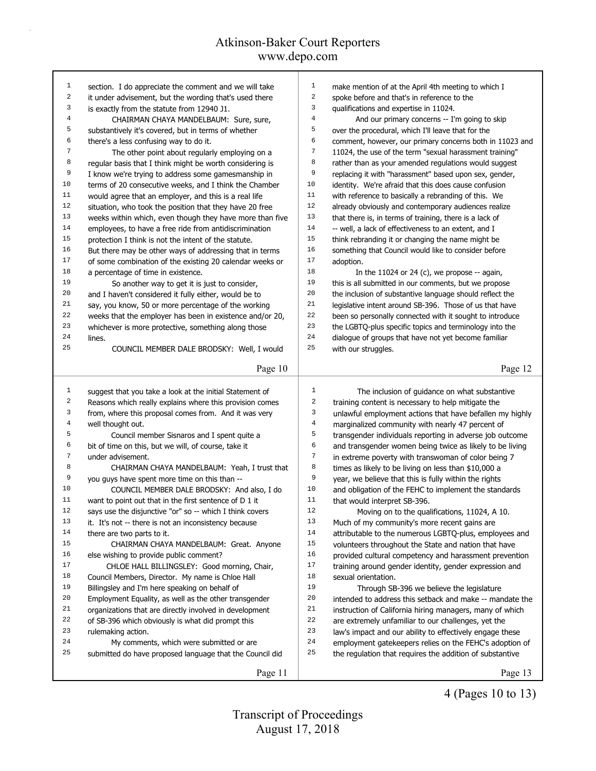| 1                | section. I do appreciate the comment and we will take                                                              | $\mathbf{1}$   | make mention of at the April 4th meeting to which I                           |
|------------------|--------------------------------------------------------------------------------------------------------------------|----------------|-------------------------------------------------------------------------------|
| 2                | it under advisement, but the wording that's used there                                                             | $\,2$          | spoke before and that's in reference to the                                   |
| 3                | is exactly from the statute from 12940 J1.                                                                         | 3              | qualifications and expertise in 11024.                                        |
| $\bf 4$          | CHAIRMAN CHAYA MANDELBAUM: Sure, sure,                                                                             | $\,4$          | And our primary concerns -- I'm going to skip                                 |
| 5                | substantively it's covered, but in terms of whether                                                                | 5              | over the procedural, which I'll leave that for the                            |
| 6                | there's a less confusing way to do it.                                                                             | 6              | comment, however, our primary concerns both in 11023 and                      |
| 7                | The other point about regularly employing on a                                                                     | 7              | 11024, the use of the term "sexual harassment training"                       |
| 8                | regular basis that I think might be worth considering is                                                           | 8              | rather than as your amended regulations would suggest                         |
| 9                | I know we're trying to address some gamesmanship in                                                                | 9              | replacing it with "harassment" based upon sex, gender,                        |
| 10               | terms of 20 consecutive weeks, and I think the Chamber                                                             | 10             | identity. We're afraid that this does cause confusion                         |
| 11               | would agree that an employer, and this is a real life                                                              | 11             | with reference to basically a rebranding of this. We                          |
| 12               | situation, who took the position that they have 20 free                                                            | 12             | already obviously and contemporary audiences realize                          |
| 13               | weeks within which, even though they have more than five                                                           | 13             | that there is, in terms of training, there is a lack of                       |
| 14               |                                                                                                                    | 14             |                                                                               |
| 15               | employees, to have a free ride from antidiscrimination                                                             | 15             | -- well, a lack of effectiveness to an extent, and I                          |
|                  | protection I think is not the intent of the statute.                                                               |                | think rebranding it or changing the name might be                             |
| 16               | But there may be other ways of addressing that in terms                                                            | 16             | something that Council would like to consider before                          |
| 17               | of some combination of the existing 20 calendar weeks or                                                           | 17             | adoption.                                                                     |
| 18               | a percentage of time in existence.                                                                                 | 18             | In the 11024 or 24 (c), we propose $-$ again,                                 |
| 19               | So another way to get it is just to consider,                                                                      | 19             | this is all submitted in our comments, but we propose                         |
| 20               | and I haven't considered it fully either, would be to                                                              | 20             | the inclusion of substantive language should reflect the                      |
| 21               | say, you know, 50 or more percentage of the working                                                                | 21             | legislative intent around SB-396. Those of us that have                       |
| 22               | weeks that the employer has been in existence and/or 20,                                                           | 22             | been so personally connected with it sought to introduce                      |
| 23               | whichever is more protective, something along those                                                                | 23             | the LGBTQ-plus specific topics and terminology into the                       |
| 24               | lines.                                                                                                             | 24             | dialogue of groups that have not yet become familiar                          |
| 25               | COUNCIL MEMBER DALE BRODSKY: Well, I would                                                                         | 25             | with our struggles.                                                           |
|                  |                                                                                                                    |                |                                                                               |
|                  | Page 10                                                                                                            |                | Page 12                                                                       |
|                  |                                                                                                                    |                |                                                                               |
|                  |                                                                                                                    |                |                                                                               |
| $\mathbf{1}$     | suggest that you take a look at the initial Statement of                                                           | $\mathbf{1}$   | The inclusion of guidance on what substantive                                 |
| 2                | Reasons which really explains where this provision comes                                                           | 2              | training content is necessary to help mitigate the                            |
| 3                | from, where this proposal comes from. And it was very                                                              | 3              | unlawful employment actions that have befallen my highly                      |
| $\overline{4}$   | well thought out.                                                                                                  | 4              | marginalized community with nearly 47 percent of                              |
| 5                | Council member Sisnaros and I spent quite a                                                                        | 5              | transgender individuals reporting in adverse job outcome                      |
| $\epsilon$       | bit of time on this, but we will, of course, take it                                                               | 6              | and transgender women being twice as likely to be living                      |
| $\boldsymbol{7}$ | under advisement.                                                                                                  | $\overline{7}$ | in extreme poverty with transwoman of color being 7                           |
| 8                | CHAIRMAN CHAYA MANDELBAUM: Yeah, I trust that                                                                      | 8              | times as likely to be living on less than \$10,000 a                          |
| 9                |                                                                                                                    | 9              |                                                                               |
| 10               | you guys have spent more time on this than --<br>COUNCIL MEMBER DALE BRODSKY: And also, I do                       | 10             | year, we believe that this is fully within the rights                         |
| 11               |                                                                                                                    | 11             | and obligation of the FEHC to implement the standards                         |
| 12               | want to point out that in the first sentence of D 1 it<br>says use the disjunctive "or" so -- which I think covers | 12             | that would interpret SB-396.<br>Moving on to the qualifications, 11024, A 10. |
| 13               |                                                                                                                    | 13             |                                                                               |
| 14               | it. It's not -- there is not an inconsistency because                                                              |                | Much of my community's more recent gains are                                  |
|                  | there are two parts to it.                                                                                         | 14             | attributable to the numerous LGBTQ-plus, employees and                        |
| 15               | CHAIRMAN CHAYA MANDELBAUM: Great. Anyone                                                                           | 15             | volunteers throughout the State and nation that have                          |
| 16               | else wishing to provide public comment?                                                                            | 16             | provided cultural competency and harassment prevention                        |
| 17               | CHLOE HALL BILLINGSLEY: Good morning, Chair,                                                                       | 17             | training around gender identity, gender expression and                        |
| 18               | Council Members, Director. My name is Chloe Hall                                                                   | 18             | sexual orientation.                                                           |
| 19               | Billingsley and I'm here speaking on behalf of                                                                     | 19             | Through SB-396 we believe the legislature                                     |
| 20               | Employment Equality, as well as the other transgender                                                              | 20             | intended to address this setback and make -- mandate the                      |
| 21               | organizations that are directly involved in development                                                            | 21             | instruction of California hiring managers, many of which                      |
| 22               | of SB-396 which obviously is what did prompt this                                                                  | 22             | are extremely unfamiliar to our challenges, yet the                           |
| 23               | rulemaking action.                                                                                                 | 23             | law's impact and our ability to effectively engage these                      |
| 24               | My comments, which were submitted or are                                                                           | 24             | employment gatekeepers relies on the FEHC's adoption of                       |
| 25               | submitted do have proposed language that the Council did                                                           | 25             | the regulation that requires the addition of substantive                      |
|                  | Page 11                                                                                                            |                | Page 13                                                                       |

4 (Pages 10 to 13)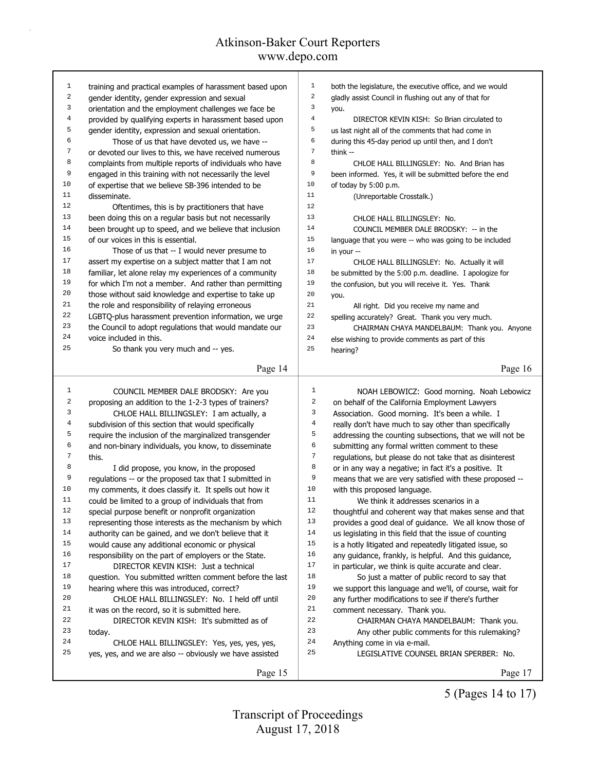| 1  | training and practical examples of harassment based upon                                       | $\mathbf{1}$     | both the legislature, the executive office, and we would                                                          |
|----|------------------------------------------------------------------------------------------------|------------------|-------------------------------------------------------------------------------------------------------------------|
| 2  | gender identity, gender expression and sexual                                                  | $\sqrt{2}$       | gladly assist Council in flushing out any of that for                                                             |
| 3  | orientation and the employment challenges we face be                                           | 3                | you.                                                                                                              |
| 4  | provided by qualifying experts in harassment based upon                                        | 4                | DIRECTOR KEVIN KISH: So Brian circulated to                                                                       |
| 5  | gender identity, expression and sexual orientation.                                            | 5                | us last night all of the comments that had come in                                                                |
| 6  | Those of us that have devoted us, we have --                                                   | 6                | during this 45-day period up until then, and I don't                                                              |
| 7  | or devoted our lives to this, we have received numerous                                        | $\boldsymbol{7}$ | think $-$                                                                                                         |
| 8  | complaints from multiple reports of individuals who have                                       | 8                | CHLOE HALL BILLINGSLEY: No. And Brian has                                                                         |
| 9  | engaged in this training with not necessarily the level                                        | 9                | been informed. Yes, it will be submitted before the end                                                           |
| 10 | of expertise that we believe SB-396 intended to be                                             | 10               | of today by 5:00 p.m.                                                                                             |
| 11 | disseminate.                                                                                   | 11               | (Unreportable Crosstalk.)                                                                                         |
| 12 | Oftentimes, this is by practitioners that have                                                 | 12               |                                                                                                                   |
| 13 | been doing this on a regular basis but not necessarily                                         | 13               | CHLOE HALL BILLINGSLEY: No.                                                                                       |
| 14 | been brought up to speed, and we believe that inclusion                                        | 14               | COUNCIL MEMBER DALE BRODSKY: -- in the                                                                            |
| 15 | of our voices in this is essential.                                                            | 15               | language that you were -- who was going to be included                                                            |
| 16 | Those of us that -- I would never presume to                                                   | 16               | in your --                                                                                                        |
| 17 | assert my expertise on a subject matter that I am not                                          | 17               | CHLOE HALL BILLINGSLEY: No. Actually it will                                                                      |
| 18 | familiar, let alone relay my experiences of a community                                        | $1\,8$           | be submitted by the 5:00 p.m. deadline. I apologize for                                                           |
| 19 | for which I'm not a member. And rather than permitting                                         | 19               | the confusion, but you will receive it. Yes. Thank                                                                |
| 20 | those without said knowledge and expertise to take up                                          | 20               | you.                                                                                                              |
| 21 | the role and responsibility of relaying erroneous                                              | 21               | All right. Did you receive my name and                                                                            |
| 22 | LGBTQ-plus harassment prevention information, we urge                                          | 22               | spelling accurately? Great. Thank you very much.                                                                  |
| 23 | the Council to adopt regulations that would mandate our                                        | 23               | CHAIRMAN CHAYA MANDELBAUM: Thank you. Anyone                                                                      |
| 24 | voice included in this.                                                                        | 24               | else wishing to provide comments as part of this                                                                  |
| 25 | So thank you very much and -- yes.                                                             | 25               | hearing?                                                                                                          |
|    |                                                                                                |                  |                                                                                                                   |
|    | Page 14                                                                                        |                  | Page 16                                                                                                           |
| 1  | COUNCIL MEMBER DALE BRODSKY: Are you                                                           | 1                | NOAH LEBOWICZ: Good morning. Noah Lebowicz                                                                        |
| 2  | proposing an addition to the 1-2-3 types of trainers?                                          | 2                |                                                                                                                   |
| 3  | CHLOE HALL BILLINGSLEY: I am actually, a                                                       | 3                | on behalf of the California Employment Lawyers<br>Association. Good morning. It's been a while. I                 |
| 4  | subdivision of this section that would specifically                                            | $\overline{4}$   | really don't have much to say other than specifically                                                             |
| 5  | require the inclusion of the marginalized transgender                                          | 5                | addressing the counting subsections, that we will not be                                                          |
| 6  | and non-binary individuals, you know, to disseminate                                           | 6                | submitting any formal written comment to these                                                                    |
| 7  | this.                                                                                          | 7                | regulations, but please do not take that as disinterest                                                           |
| 8  | I did propose, you know, in the proposed                                                       | 8                | or in any way a negative; in fact it's a positive. It                                                             |
| 9  | regulations -- or the proposed tax that I submitted in                                         | 9                | means that we are very satisfied with these proposed --                                                           |
| 10 | my comments, it does classify it. It spells out how it                                         | 10               | with this proposed language.                                                                                      |
| 11 | could be limited to a group of individuals that from                                           | 11               | We think it addresses scenarios in a                                                                              |
| 12 | special purpose benefit or nonprofit organization                                              | $1\,2$           | thoughtful and coherent way that makes sense and that                                                             |
| 13 | representing those interests as the mechanism by which                                         | 13               |                                                                                                                   |
| 14 | authority can be gained, and we don't believe that it                                          | 14               | provides a good deal of guidance. We all know those of<br>us legislating in this field that the issue of counting |
| 15 | would cause any additional economic or physical                                                | 15               | is a hotly litigated and repeatedly litigated issue, so                                                           |
| 16 |                                                                                                | 16               |                                                                                                                   |
| 17 | responsibility on the part of employers or the State.<br>DIRECTOR KEVIN KISH: Just a technical | 17               | any guidance, frankly, is helpful. And this guidance,                                                             |
| 18 |                                                                                                | 18               | in particular, we think is quite accurate and clear.                                                              |
| 19 | question. You submitted written comment before the last                                        | 19               | So just a matter of public record to say that                                                                     |
| 20 | hearing where this was introduced, correct?<br>CHLOE HALL BILLINGSLEY: No. I held off until    | 20               | we support this language and we'll, of course, wait for                                                           |
| 21 |                                                                                                | 21               | any further modifications to see if there's further                                                               |
| 22 | it was on the record, so it is submitted here.                                                 | 22               | comment necessary. Thank you.                                                                                     |
| 23 | DIRECTOR KEVIN KISH: It's submitted as of                                                      | 23               | CHAIRMAN CHAYA MANDELBAUM: Thank you.                                                                             |
| 24 |                                                                                                |                  |                                                                                                                   |
|    | today.                                                                                         |                  | Any other public comments for this rulemaking?                                                                    |
|    | CHLOE HALL BILLINGSLEY: Yes, yes, yes, yes,                                                    | 24               | Anything come in via e-mail.                                                                                      |
| 25 | yes, yes, and we are also -- obviously we have assisted                                        | 25               | LEGISLATIVE COUNSEL BRIAN SPERBER: No.                                                                            |

5 (Pages 14 to 17)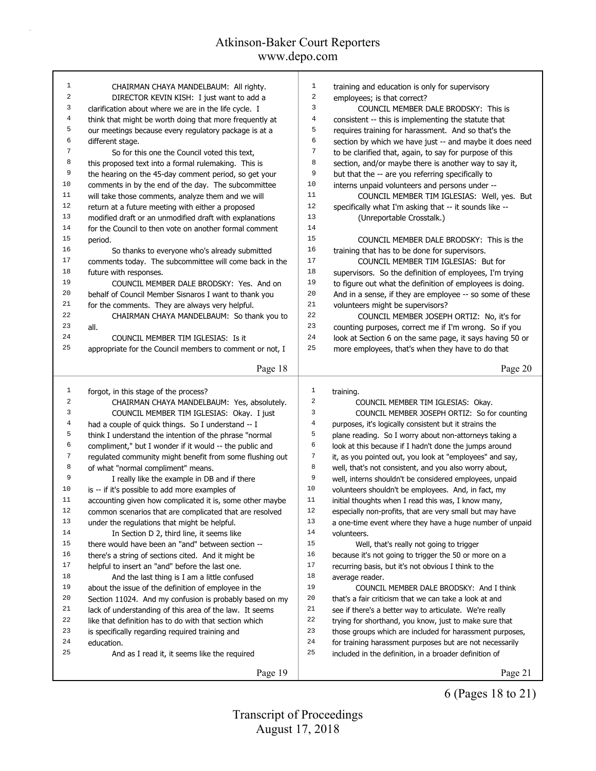| $1\,$            | CHAIRMAN CHAYA MANDELBAUM: All righty.                   | 1                       | training and education is only for supervisory           |  |  |  |
|------------------|----------------------------------------------------------|-------------------------|----------------------------------------------------------|--|--|--|
| 2                | DIRECTOR KEVIN KISH: I just want to add a                | $\sqrt{2}$              | employees; is that correct?                              |  |  |  |
| 3                | clarification about where we are in the life cycle. I    | 3                       | COUNCIL MEMBER DALE BRODSKY: This is                     |  |  |  |
| $\overline{4}$   | think that might be worth doing that more frequently at  | 4                       | consistent -- this is implementing the statute that      |  |  |  |
| 5                | our meetings because every regulatory package is at a    |                         | requires training for harassment. And so that's the      |  |  |  |
| 6                | different stage.                                         | 6                       | section by which we have just -- and maybe it does need  |  |  |  |
| 7                | So for this one the Council voted this text,             | $\sqrt{ }$              | to be clarified that, again, to say for purpose of this  |  |  |  |
| 8                | this proposed text into a formal rulemaking. This is     | 8                       | section, and/or maybe there is another way to say it,    |  |  |  |
| 9                | the hearing on the 45-day comment period, so get your    | 9                       | but that the -- are you referring specifically to        |  |  |  |
| 10               | comments in by the end of the day. The subcommittee      | 10                      | interns unpaid volunteers and persons under --           |  |  |  |
| 11               | will take those comments, analyze them and we will       | 11                      | COUNCIL MEMBER TIM IGLESIAS: Well, yes. But              |  |  |  |
| 12               | return at a future meeting with either a proposed        | 12                      | specifically what I'm asking that -- it sounds like --   |  |  |  |
| 13               | modified draft or an unmodified draft with explanations  | 13                      | (Unreportable Crosstalk.)                                |  |  |  |
| 14               | for the Council to then vote on another formal comment   | 14                      |                                                          |  |  |  |
| 15               | period.                                                  | 15                      | COUNCIL MEMBER DALE BRODSKY: This is the                 |  |  |  |
| 16               | So thanks to everyone who's already submitted            | 16                      | training that has to be done for supervisors.            |  |  |  |
| 17               | comments today. The subcommittee will come back in the   | 17                      | COUNCIL MEMBER TIM IGLESIAS: But for                     |  |  |  |
| 18               | future with responses.                                   | 18                      | supervisors. So the definition of employees, I'm trying  |  |  |  |
| 19               | COUNCIL MEMBER DALE BRODSKY: Yes. And on                 | 19                      | to figure out what the definition of employees is doing. |  |  |  |
| 20               | behalf of Council Member Sisnaros I want to thank you    | 20                      | And in a sense, if they are employee -- so some of these |  |  |  |
| 21               | for the comments. They are always very helpful.          | 21                      | volunteers might be supervisors?                         |  |  |  |
| 22               | CHAIRMAN CHAYA MANDELBAUM: So thank you to               | 22                      | COUNCIL MEMBER JOSEPH ORTIZ: No, it's for                |  |  |  |
| 23               | all.                                                     | 23                      | counting purposes, correct me if I'm wrong. So if you    |  |  |  |
| 24               | COUNCIL MEMBER TIM IGLESIAS: Is it                       | 24                      | look at Section 6 on the same page, it says having 50 or |  |  |  |
| 25               | appropriate for the Council members to comment or not, I | 25                      | more employees, that's when they have to do that         |  |  |  |
|                  |                                                          |                         |                                                          |  |  |  |
|                  | Page 18                                                  |                         | Page 20                                                  |  |  |  |
|                  |                                                          |                         |                                                          |  |  |  |
| $\mathbf{1}$     | forgot, in this stage of the process?                    | $\mathbf 1$             | training.                                                |  |  |  |
| $\boldsymbol{2}$ | CHAIRMAN CHAYA MANDELBAUM: Yes, absolutely.              | $\overline{\mathbf{c}}$ | COUNCIL MEMBER TIM IGLESIAS: Okay.                       |  |  |  |
| 3                | COUNCIL MEMBER TIM IGLESIAS: Okay. I just                | 3                       | COUNCIL MEMBER JOSEPH ORTIZ: So for counting             |  |  |  |
| $\overline{4}$   | had a couple of quick things. So I understand -- I       | $\bf 4$                 | purposes, it's logically consistent but it strains the   |  |  |  |
| 5                | think I understand the intention of the phrase "normal   | 5                       | plane reading. So I worry about non-attorneys taking a   |  |  |  |
| 6                | compliment," but I wonder if it would -- the public and  | 6                       | look at this because if I hadn't done the jumps around   |  |  |  |
| 7                | regulated community might benefit from some flushing out | 7                       | it, as you pointed out, you look at "employees" and say, |  |  |  |
| 8                | of what "normal compliment" means.                       | 8                       | well, that's not consistent, and you also worry about,   |  |  |  |
| 9                | I really like the example in DB and if there             | 9                       | well, interns shouldn't be considered employees, unpaid  |  |  |  |
| 10               | is -- if it's possible to add more examples of           | $10$                    | volunteers shouldn't be employees. And, in fact, my      |  |  |  |
| 11               | accounting given how complicated it is, some other maybe | 11                      | initial thoughts when I read this was, I know many,      |  |  |  |
| 12               | common scenarios that are complicated that are resolved  | 12                      | especially non-profits, that are very small but may have |  |  |  |
| 13               | under the regulations that might be helpful.             | 13                      | a one-time event where they have a huge number of unpaid |  |  |  |
| 14               | In Section D 2, third line, it seems like                | 14                      | volunteers.                                              |  |  |  |
| 15               | there would have been an "and" between section --        | 15                      | Well, that's really not going to trigger                 |  |  |  |
| 16               | there's a string of sections cited. And it might be      | 16                      | because it's not going to trigger the 50 or more on a    |  |  |  |
| 17               | helpful to insert an "and" before the last one.          | 17                      | recurring basis, but it's not obvious I think to the     |  |  |  |
| 18               | And the last thing is I am a little confused             | 18                      | average reader.                                          |  |  |  |
| 19               | about the issue of the definition of employee in the     | 19                      | COUNCIL MEMBER DALE BRODSKY: And I think                 |  |  |  |
| 20               | Section 11024. And my confusion is probably based on my  | 20                      | that's a fair criticism that we can take a look at and   |  |  |  |
| 21               | lack of understanding of this area of the law. It seems  | 21                      | see if there's a better way to articulate. We're really  |  |  |  |
| 22               | like that definition has to do with that section which   | 22                      | trying for shorthand, you know, just to make sure that   |  |  |  |
| 23               | is specifically regarding required training and          | 23                      | those groups which are included for harassment purposes, |  |  |  |
| 24               | education.                                               | 24                      | for training harassment purposes but are not necessarily |  |  |  |
| 25               | And as I read it, it seems like the required             | 25                      | included in the definition, in a broader definition of   |  |  |  |
|                  |                                                          |                         |                                                          |  |  |  |
|                  | Page 19                                                  |                         | Page 21                                                  |  |  |  |

6 (Pages 18 to 21)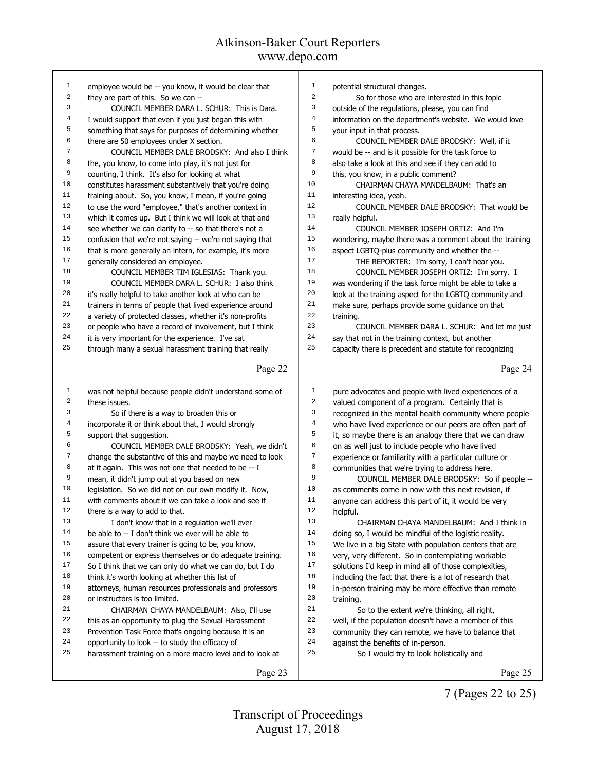| $\mathbf{1}$            | employee would be -- you know, it would be clear that    | 1<br>potential structural changes.                                         |
|-------------------------|----------------------------------------------------------|----------------------------------------------------------------------------|
| $\sqrt{2}$              | they are part of this. So we can --                      | $\overline{a}$<br>So for those who are interested in this topic            |
| 3                       | COUNCIL MEMBER DARA L. SCHUR: This is Dara.              | 3<br>outside of the regulations, please, you can find                      |
| $\overline{4}$          | I would support that even if you just began this with    | $\overline{4}$<br>information on the department's website. We would love   |
| 5                       | something that says for purposes of determining whether  | 5<br>your input in that process.                                           |
| 6                       | there are 50 employees under X section.                  | 6<br>COUNCIL MEMBER DALE BRODSKY: Well, if it                              |
| $\sqrt{ }$              | COUNCIL MEMBER DALE BRODSKY: And also I think            | $\boldsymbol{7}$<br>would be -- and is it possible for the task force to   |
| 8                       | the, you know, to come into play, it's not just for      | 8<br>also take a look at this and see if they can add to                   |
| 9                       | counting, I think. It's also for looking at what         | 9<br>this, you know, in a public comment?                                  |
| 10                      | constitutes harassment substantively that you're doing   | 10<br>CHAIRMAN CHAYA MANDELBAUM: That's an                                 |
| 11                      | training about. So, you know, I mean, if you're going    | 11<br>interesting idea, yeah.                                              |
| 12                      | to use the word "employee," that's another context in    | 12<br>COUNCIL MEMBER DALE BRODSKY: That would be                           |
| 13                      | which it comes up. But I think we will look at that and  | 13<br>really helpful.                                                      |
| 14                      | see whether we can clarify to -- so that there's not a   | 14<br>COUNCIL MEMBER JOSEPH ORTIZ: And I'm                                 |
| 15                      | confusion that we're not saying -- we're not saying that | 15<br>wondering, maybe there was a comment about the training              |
| 16                      | that is more generally an intern, for example, it's more | 16<br>aspect LGBTQ-plus community and whether the --                       |
| $17$                    | generally considered an employee.                        | 17<br>THE REPORTER: I'm sorry, I can't hear you.                           |
| 18                      | COUNCIL MEMBER TIM IGLESIAS: Thank you.                  | 18<br>COUNCIL MEMBER JOSEPH ORTIZ: I'm sorry. I                            |
| 19                      | COUNCIL MEMBER DARA L. SCHUR: I also think               | 19<br>was wondering if the task force might be able to take a              |
| 20                      | it's really helpful to take another look at who can be   | 20<br>look at the training aspect for the LGBTQ community and              |
| 21                      | trainers in terms of people that lived experience around | $2\sqrt{1}$<br>make sure, perhaps provide some guidance on that            |
| 22                      | a variety of protected classes, whether it's non-profits | 22<br>training.                                                            |
| 23                      | or people who have a record of involvement, but I think  | 23<br>COUNCIL MEMBER DARA L. SCHUR: And let me just                        |
| 24                      | it is very important for the experience. I've sat        | 24<br>say that not in the training context, but another                    |
| 25                      |                                                          | 25                                                                         |
|                         | through many a sexual harassment training that really    | capacity there is precedent and statute for recognizing                    |
|                         | Page 22                                                  | Page 24                                                                    |
|                         |                                                          |                                                                            |
| $\mathbf 1$             | was not helpful because people didn't understand some of | $\mathbf{1}$<br>pure advocates and people with lived experiences of a      |
| $\overline{\mathbf{c}}$ | these issues.                                            | 2<br>valued component of a program. Certainly that is                      |
| 3                       | So if there is a way to broaden this or                  | 3<br>recognized in the mental health community where people                |
| $\overline{\mathbf{4}}$ | incorporate it or think about that, I would strongly     | $\overline{4}$<br>who have lived experience or our peers are often part of |
| 5                       | support that suggestion.                                 | 5<br>it, so maybe there is an analogy there that we can draw               |
| 6                       | COUNCIL MEMBER DALE BRODSKY: Yeah, we didn't             | 6<br>on as well just to include people who have lived                      |
| $\sqrt{ }$              | change the substantive of this and maybe we need to look | 7<br>experience or familiarity with a particular culture or                |
| 8                       | at it again. This was not one that needed to be -- I     | 8<br>communities that we're trying to address here.                        |
| 9                       | mean, it didn't jump out at you based on new             | 9<br>COUNCIL MEMBER DALE BRODSKY: So if people --                          |
| 10                      | legislation. So we did not on our own modify it. Now,    | 10<br>as comments come in now with this next revision, if                  |
| 11                      | with comments about it we can take a look and see if     | 11<br>anyone can address this part of it, it would be very                 |
| 12                      | there is a way to add to that.                           | 12<br>helpful.                                                             |
| 13                      | I don't know that in a regulation we'll ever             | 13<br>CHAIRMAN CHAYA MANDELBAUM: And I think in                            |
| 14                      | be able to -- I don't think we ever will be able to      | 14<br>doing so, I would be mindful of the logistic reality.                |
| 15                      | assure that every trainer is going to be, you know,      | 15<br>We live in a big State with population centers that are              |
| 16                      | competent or express themselves or do adequate training. | 16<br>very, very different. So in contemplating workable                   |
| 17                      | So I think that we can only do what we can do, but I do  | 17<br>solutions I'd keep in mind all of those complexities,                |
| 18                      | think it's worth looking at whether this list of         | 18<br>including the fact that there is a lot of research that              |
| 19                      |                                                          | 19                                                                         |
| 20                      | attorneys, human resources professionals and professors  | in-person training may be more effective than remote<br>20                 |
| 21                      |                                                          | training.                                                                  |
|                         | or instructors is too limited.                           |                                                                            |
|                         | CHAIRMAN CHAYA MANDELBAUM: Also, I'll use                | 21<br>So to the extent we're thinking, all right,                          |
| 22                      | this as an opportunity to plug the Sexual Harassment     | $2\sqrt{2}$<br>well, if the population doesn't have a member of this       |
| 23                      | Prevention Task Force that's ongoing because it is an    | 23<br>community they can remote, we have to balance that                   |
| 24                      | opportunity to look -- to study the efficacy of          | 24<br>against the benefits of in-person.                                   |
| 25                      | harassment training on a more macro level and to look at | 25<br>So I would try to look holistically and                              |
|                         | Page 23                                                  | Page 25                                                                    |

7 (Pages 22 to 25)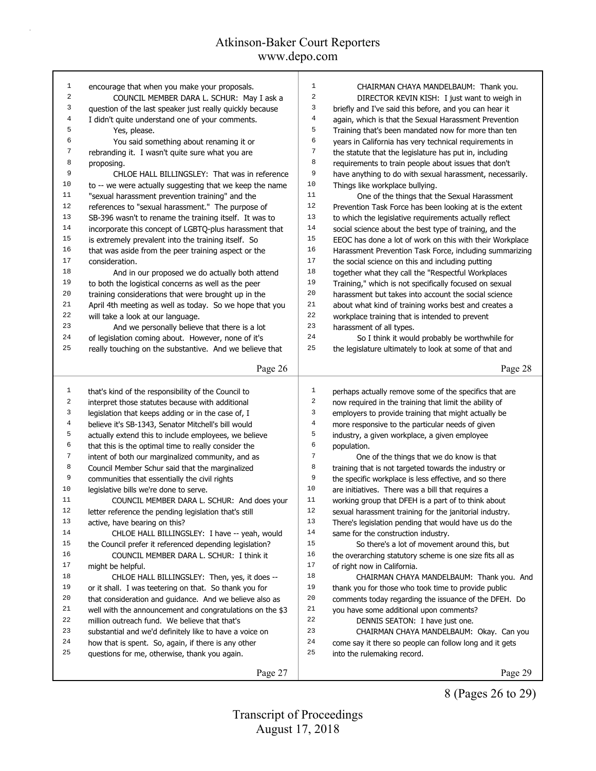| $\mathbf{1}$            |                                                           |                         |                                                          |
|-------------------------|-----------------------------------------------------------|-------------------------|----------------------------------------------------------|
|                         | encourage that when you make your proposals.              | $\mathbf{1}$            | CHAIRMAN CHAYA MANDELBAUM: Thank you.                    |
| $\overline{\mathbf{c}}$ | COUNCIL MEMBER DARA L. SCHUR: May I ask a                 | $\overline{a}$          | DIRECTOR KEVIN KISH: I just want to weigh in             |
| 3                       | question of the last speaker just really quickly because  | 3                       | briefly and I've said this before, and you can hear it   |
| 4                       | I didn't quite understand one of your comments.           | 4                       | again, which is that the Sexual Harassment Prevention    |
| 5                       | Yes, please.                                              | 5                       | Training that's been mandated now for more than ten      |
| 6                       | You said something about renaming it or                   | $\epsilon$              | years in California has very technical requirements in   |
| 7                       | rebranding it. I wasn't quite sure what you are           | $\overline{7}$          | the statute that the legislature has put in, including   |
| 8                       | proposing.                                                | 8                       | requirements to train people about issues that don't     |
| 9                       | CHLOE HALL BILLINGSLEY: That was in reference             | 9                       | have anything to do with sexual harassment, necessarily. |
| 10                      | to -- we were actually suggesting that we keep the name   | 10                      | Things like workplace bullying.                          |
| 11                      | "sexual harassment prevention training" and the           | 11                      | One of the things that the Sexual Harassment             |
| 12                      | references to "sexual harassment." The purpose of         | 12                      | Prevention Task Force has been looking at is the extent  |
| 13                      | SB-396 wasn't to rename the training itself. It was to    | 13                      | to which the legislative requirements actually reflect   |
| 14                      | incorporate this concept of LGBTQ-plus harassment that    | 14                      | social science about the best type of training, and the  |
| 15                      | is extremely prevalent into the training itself. So       | 15                      | EEOC has done a lot of work on this with their Workplace |
| 16                      | that was aside from the peer training aspect or the       | 16                      | Harassment Prevention Task Force, including summarizing  |
| 17                      | consideration.                                            | 17                      | the social science on this and including putting         |
| 18                      | And in our proposed we do actually both attend            | 18                      | together what they call the "Respectful Workplaces       |
| 19                      | to both the logistical concerns as well as the peer       | 19                      | Training," which is not specifically focused on sexual   |
| 20                      | training considerations that were brought up in the       | 20                      | harassment but takes into account the social science     |
| 21                      | April 4th meeting as well as today. So we hope that you   | 21                      | about what kind of training works best and creates a     |
| 22                      | will take a look at our language.                         | 22                      | workplace training that is intended to prevent           |
| 23                      | And we personally believe that there is a lot             | 23                      | harassment of all types.                                 |
| 24                      | of legislation coming about. However, none of it's        | 24                      | So I think it would probably be worthwhile for           |
| 25                      | really touching on the substantive. And we believe that   | 25                      | the legislature ultimately to look at some of that and   |
|                         |                                                           |                         |                                                          |
|                         | Page 26                                                   |                         | Page 28                                                  |
| $\mathbf{1}$            | that's kind of the responsibility of the Council to       | $\mathbf{1}$            | perhaps actually remove some of the specifics that are   |
| $\sqrt{2}$              | interpret those statutes because with additional          | $\overline{\mathbf{c}}$ | now required in the training that limit the ability of   |
| 3                       | legislation that keeps adding or in the case of, I        | 3                       | employers to provide training that might actually be     |
| 4                       | believe it's SB-1343, Senator Mitchell's bill would       | $\,4$                   |                                                          |
|                         |                                                           |                         |                                                          |
|                         |                                                           |                         | more responsive to the particular needs of given         |
| 5                       | actually extend this to include employees, we believe     | 5                       | industry, a given workplace, a given employee            |
| 6                       | that this is the optimal time to really consider the      | 6                       | population.                                              |
| $\sqrt{ }$              | intent of both our marginalized community, and as         | $\boldsymbol{7}$        | One of the things that we do know is that                |
| 8                       | Council Member Schur said that the marginalized           | 8                       | training that is not targeted towards the industry or    |
| 9                       | communities that essentially the civil rights             | 9                       | the specific workplace is less effective, and so there   |
| 10                      | legislative bills we're done to serve.                    | 10                      | are initiatives. There was a bill that requires a        |
| 11                      | COUNCIL MEMBER DARA L. SCHUR: And does your               | 11                      | working group that DFEH is a part of to think about      |
| 12                      | letter reference the pending legislation that's still     | 12                      | sexual harassment training for the janitorial industry.  |
| 13                      | active, have bearing on this?                             | 13                      | There's legislation pending that would have us do the    |
| 14                      | CHLOE HALL BILLINGSLEY: I have -- yeah, would             | 14                      | same for the construction industry.                      |
| 15                      | the Council prefer it referenced depending legislation?   | 15                      | So there's a lot of movement around this, but            |
| 16                      | COUNCIL MEMBER DARA L. SCHUR: I think it                  | 16                      | the overarching statutory scheme is one size fits all as |
| 17                      | might be helpful.                                         | 17                      | of right now in California.                              |
| 18                      | CHLOE HALL BILLINGSLEY: Then, yes, it does --             | 18                      | CHAIRMAN CHAYA MANDELBAUM: Thank you. And                |
| 19                      | or it shall. I was teetering on that. So thank you for    | 19                      | thank you for those who took time to provide public      |
| 20                      | that consideration and guidance. And we believe also as   | 20                      | comments today regarding the issuance of the DFEH. Do    |
| 21                      | well with the announcement and congratulations on the \$3 | 21                      | you have some additional upon comments?                  |
| 22                      | million outreach fund. We believe that that's             | 22                      | DENNIS SEATON: I have just one.                          |
| 23                      | substantial and we'd definitely like to have a voice on   | 23                      | CHAIRMAN CHAYA MANDELBAUM: Okay. Can you                 |
| 24                      | how that is spent. So, again, if there is any other       | 24                      | come say it there so people can follow long and it gets  |
| 25                      | questions for me, otherwise, thank you again.             | 25                      | into the rulemaking record.                              |

8 (Pages 26 to 29)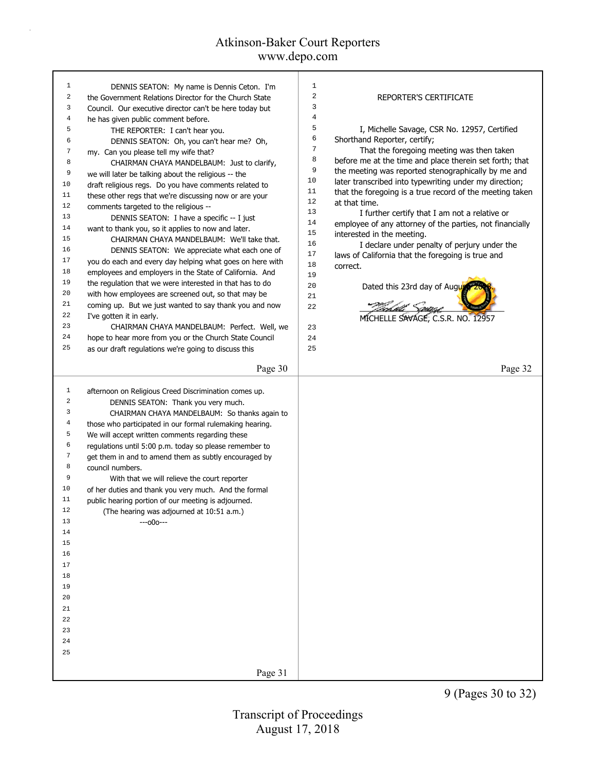| 1            | DENNIS SEATON: My name is Dennis Ceton. I'm              | 1              |                                                          |
|--------------|----------------------------------------------------------|----------------|----------------------------------------------------------|
| 2            | the Government Relations Director for the Church State   | $\overline{2}$ | REPORTER'S CERTIFICATE                                   |
| 3            | Council. Our executive director can't be here today but  | 3              |                                                          |
| 4            | he has given public comment before.                      | $\overline{4}$ |                                                          |
| 5            | THE REPORTER: I can't hear you.                          | 5              | I, Michelle Savage, CSR No. 12957, Certified             |
| 6            | DENNIS SEATON: Oh, you can't hear me? Oh,                | 6              | Shorthand Reporter, certify;                             |
| 7            | my. Can you please tell my wife that?                    | $\overline{7}$ | That the foregoing meeting was then taken                |
| 8            | CHAIRMAN CHAYA MANDELBAUM: Just to clarify,              | 8              | before me at the time and place therein set forth; that  |
| 9            | we will later be talking about the religious -- the      | 9              | the meeting was reported stenographically by me and      |
| 10           | draft religious regs. Do you have comments related to    | 10             | later transcribed into typewriting under my direction;   |
| 11           | these other regs that we're discussing now or are your   | 11             | that the foregoing is a true record of the meeting taken |
| 12           | comments targeted to the religious --                    | 12             | at that time.                                            |
| 13           | DENNIS SEATON: I have a specific -- I just               | 13             | I further certify that I am not a relative or            |
| 14           | want to thank you, so it applies to now and later.       | 14             | employee of any attorney of the parties, not financially |
| 15           | CHAIRMAN CHAYA MANDELBAUM: We'll take that.              | 15<br>16       | interested in the meeting.                               |
| 16           | DENNIS SEATON: We appreciate what each one of            | 17             | I declare under penalty of perjury under the             |
| 17           | you do each and every day helping what goes on here with | 18             | laws of California that the foregoing is true and        |
| 18           | employees and employers in the State of California. And  | 19             | correct.                                                 |
| 19           | the regulation that we were interested in that has to do | 20             | Dated this 23rd day of Augu                              |
| 20           | with how employees are screened out, so that may be      | 21             |                                                          |
| 21           | coming up. But we just wanted to say thank you and now   | 22             |                                                          |
| 22           | I've gotten it in early.                                 |                | MICHELLE SAVAGE, C.S.R. NO. 12957                        |
| 23           | CHAIRMAN CHAYA MANDELBAUM: Perfect. Well, we             | 23             |                                                          |
| 24           | hope to hear more from you or the Church State Council   | 24             |                                                          |
| 25           | as our draft regulations we're going to discuss this     | 25             |                                                          |
|              |                                                          |                |                                                          |
|              | Page 30                                                  |                | Page 32                                                  |
|              |                                                          |                |                                                          |
| $\mathbf{1}$ | afternoon on Religious Creed Discrimination comes up.    |                |                                                          |
| 2            | DENNIS SEATON: Thank you very much.                      |                |                                                          |
| 3            | CHAIRMAN CHAYA MANDELBAUM: So thanks again to            |                |                                                          |
| 4            | those who participated in our formal rulemaking hearing. |                |                                                          |
| 5            | We will accept written comments regarding these          |                |                                                          |
| 6            | regulations until 5:00 p.m. today so please remember to  |                |                                                          |
| 7            | get them in and to amend them as subtly encouraged by    |                |                                                          |
| 8            | council numbers.                                         |                |                                                          |
| 9            | With that we will relieve the court reporter             |                |                                                          |
| 10           | of her duties and thank you very much. And the formal    |                |                                                          |
| 11           | public hearing portion of our meeting is adjourned.      |                |                                                          |
| 12           | (The hearing was adjourned at 10:51 a.m.)                |                |                                                          |
| 13           | $--000---$                                               |                |                                                          |
| 14           |                                                          |                |                                                          |
| 15           |                                                          |                |                                                          |
| 16           |                                                          |                |                                                          |
| 17           |                                                          |                |                                                          |
| 18           |                                                          |                |                                                          |
| 19           |                                                          |                |                                                          |
| 20           |                                                          |                |                                                          |
| 21           |                                                          |                |                                                          |
| 22           |                                                          |                |                                                          |
| 23           |                                                          |                |                                                          |
| 24           |                                                          |                |                                                          |
| 25           |                                                          |                |                                                          |
|              | Page 31                                                  |                |                                                          |
|              |                                                          |                |                                                          |

9 (Pages 30 to 32)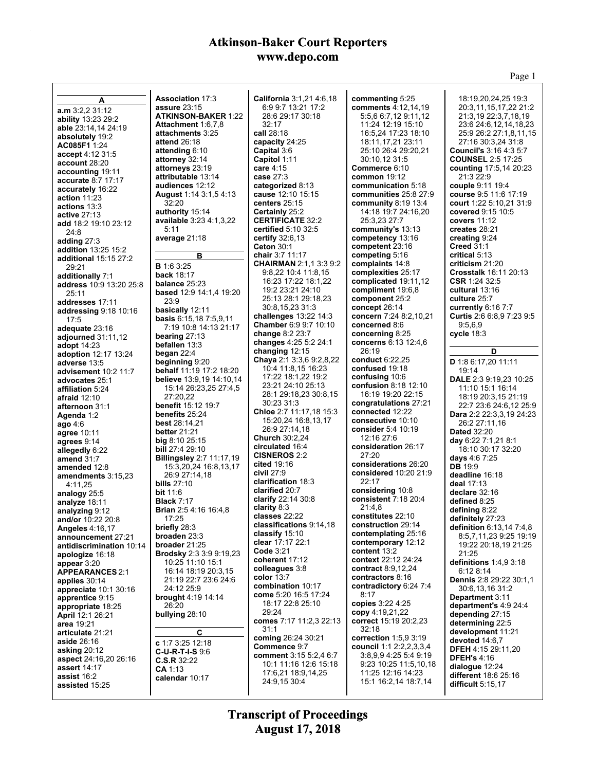|                                             |                                             |                                                  |                                               | Page 1                                    |
|---------------------------------------------|---------------------------------------------|--------------------------------------------------|-----------------------------------------------|-------------------------------------------|
|                                             | <b>Association 17:3</b>                     |                                                  |                                               | 18:19.20.24.25 19:3                       |
| A                                           | <b>assure 23:15</b>                         | California 3:1,21 4:6,18<br>6:9 9:7 13:21 17:2   | commenting 5:25<br><b>comments</b> 4:12,14,19 | 20:3,11,15,17,22 21:2                     |
| a.m 3:2,2 31:12                             | <b>ATKINSON-BAKER 1:22</b>                  | 28:6 29:17 30:18                                 | 5:5,6 6:7,12 9:11,12                          | 21:3,19 22:3,7,18,19                      |
| ability 13:23 29:2                          | Attachment 1:6,7,8                          | 32:17                                            | 11:24 12:19 15:10                             | 23:6 24:6,12,14,18,23                     |
| able 23:14,14 24:19<br>absolutely 19:2      | attachments 3:25                            | call 28:18                                       | 16:5,24 17:23 18:10                           | 25:9 26:2 27:1,8,11,15                    |
| AC085F1 1:24                                | attend 26:18                                | capacity 24:25                                   | 18:11,17,21 23:11                             | 27:16 30:3,24 31:8                        |
| accept 4:12 31:5                            | attending 6:10                              | Capital 3:6                                      | 25:10 26:4 29:20,21                           | <b>Council's 3:16 4:3 5:7</b>             |
| account 28:20                               | attorney 32:14                              | Capitol 1:11                                     | 30:10,12 31:5                                 | <b>COUNSEL 2:5 17:25</b>                  |
| accounting 19:11                            | attorneys 23:19                             | care 4:15                                        | Commerce 6:10                                 | counting 17:5,14 20:23                    |
| accurate 8:7 17:17                          | attributable 13:14<br>audiences 12:12       | case 27:3                                        | <b>common</b> 19:12<br>communication 5:18     | 21:3 22:9                                 |
| accurately 16:22                            | <b>August 1:14 3:1,5 4:13</b>               | categorized 8:13<br>cause 12:10 15:15            | <b>communities</b> 25:8 27:9                  | couple 9:11 19:4<br>course 9:5 11:6 17:19 |
| action $11:23$                              | 32:20                                       | centers $25:15$                                  | community $8:19$ 13:4                         | court 1:22 5:10,21 31:9                   |
| actions 13:3                                | authority 15:14                             | Certainly 25:2                                   | 14:18 19:7 24:16,20                           | covered 9:15 10:5                         |
| <b>active 27:13</b><br>add 18:2 19:10 23:12 | available 3:23 4:1,3,22                     | <b>CERTIFICATE 32:2</b>                          | 25:3,23 27:7                                  | covers $11:12$                            |
| 24:8                                        | 5:11                                        | <b>certified</b> 5:10 32:5                       | community's 13:13                             | creates 28:21                             |
| adding $27:3$                               | average 21:18                               | certify $32:6,13$                                | competency 13:16                              | creating 9:24                             |
| addition 13:25 15:2                         |                                             | <b>Ceton 30:1</b>                                | competent 23:16                               | <b>Creed 31:1</b>                         |
| additional 15:15 27:2                       | в                                           | chair 3:7 11:17<br><b>CHAIRMAN 2:1.1 3:3 9:2</b> | competing 5:16<br>complaints 14:8             | critical 5:13<br>criticism 21:20          |
| 29:21                                       | <b>B</b> 1:6 3:25                           | 9:8,22 10:4 11:8,15                              | complexities 25:17                            | <b>Crosstalk 16:11 20:13</b>              |
| additionally 7:1                            | <b>back</b> 18:17<br>balance 25:23          | 16:23 17:22 18:1.22                              | complicated 19:11,12                          | CSR 1:24 32:5                             |
| address 10:9 13:20 25:8<br>25:11            | <b>based</b> 12:9 14:1,4 19:20              | 19:2 23:21 24:10                                 | compliment 19:6.8                             | cultural 13:16                            |
| addresses 17:11                             | 23:9                                        | 25:13 28:1 29:18,23                              | component 25:2                                | culture 25:7                              |
| addressing 9:18 10:16                       | basically 12:11                             | 30:8,15,23 31:3                                  | concept $26:14$                               | currently 6:16 7:7                        |
| 17:5                                        | <b>basis</b> $6:15,187:5,9,11$              | challenges $13:22$ $14:3$                        | concern 7:24 8:2,10,21                        | Curtis 2:6 6:8,9 7:23 9:5                 |
| adequate 23:16                              | 7:19 10:8 14:13 21:17                       | Chamber 6:9 9:7 10:10                            | concerned 8:6                                 | 9.5,6,9                                   |
| adjourned 31:11,12                          | bearing $27:13$                             | change 8:2 23:7<br>changes 4:25 5:2 24:1         | concerning 8:25<br>concerns 6:13 12:4,6       | cycle 18:3                                |
| <b>adopt</b> 14:23                          | befallen 13:3                               | changing $12:15$                                 | 26:19                                         | D                                         |
| <b>adoption</b> 12:17 13:24<br>adverse 13:5 | began $22:4$<br>beginning 9:20              | <b>Chaya</b> 2:1 3:3,6 9:2,8,22                  | conduct 6:22,25                               | D 1:8 6:17,20 11:11                       |
| advisement 10:2 11:7                        | <b>behalf</b> 11:19 17:2 18:20              | 10:4 11:8,15 16:23                               | confused 19:18                                | 19:14                                     |
| advocates 25:1                              | <b>believe</b> 13:9,19 14:10,14             | 17:22 18:1,22 19:2                               | confusing 10:6                                | DALE 2:3 9:19,23 10:25                    |
| affiliation 5:24                            | 15:14 26:23,25 27:4,5                       | 23:21 24:10 25:13                                | confusion $8:18$ 12:10                        | 11:10 15:1 16:14                          |
| <b>afraid</b> 12:10                         | 27:20,22                                    | 28:1 29:18,23 30:8,15                            | 16:19 19:20 22:15                             | 18:19 20:3,15 21:19                       |
| afternoon 31:1                              | benefit 15:12 19:7                          | 30:23 31:3<br>Chloe 2:7 11:17,18 15:3            | congratulations 27:21<br>connected 12:22      | 22:7 23:6 24:6,12 25:9                    |
| Agenda 1:2                                  | benefits 25:24<br><b>best</b> 28:14,21      | 15:20,24 16:8,13,17                              | consecutive 10:10                             | Dara 2:2 22:3,3,19 24:23<br>26:2 27:11,16 |
| ago $4:6$<br>agree 10:11                    | <b>better</b> 21:21                         | 26:9 27:14.18                                    | consider 5:4 10:19                            | <b>Dated 32:20</b>                        |
| agrees 9:14                                 | big 8:10 25:15                              | <b>Church</b> 30:2,24                            | 12:16 27:6                                    | day $6:227:1,218:1$                       |
| allegedly 6:22                              | <b>bill</b> 27:4 29:10                      | circulated 16:4                                  | consideration 26:17                           | 18:10 30:17 32:20                         |
| amend $31:7$                                | <b>Billingsley 2:7 11:17,19</b>             | <b>CISNEROS</b> 2:2                              | 27:20                                         | days 4:6 7:25                             |
| amended 12:8                                | 15:3,20,24 16:8,13,17                       | cited $19:16$<br>civil $27:9$                    | considerations 26:20<br>considered 10:20 21:9 | <b>DB</b> 19:9                            |
| amendments 3:15,23                          | 26:9 27:14,18                               | clarification 18:3                               | 22.17                                         | deadline 16:18                            |
| 4:11.25                                     | bills $27:10$<br><b>bit</b> 11:6            | clarified 20:7                                   | considering 10:8                              | deal 17:13<br>declare 32:16               |
| analogy 25:5                                | <b>Black 7:17</b>                           | clarify 22:14 30:8                               | consistent 7:18 20:4                          | defined 8:25                              |
| analyze 18:11<br>analyzing 9:12             | <b>Brian</b> 2:5 4:16 16:4,8                | clarity 8:3                                      | 21:4,8                                        | defining 8:22                             |
| and/or 10:22 20:8                           | 17:25                                       | classes 22:22                                    | constitutes 22:10                             | definitely 27:23                          |
| <b>Angeles 4:16,17</b>                      | briefly $28:3$                              | classifications 9:14,18                          | construction 29:14                            | <b>definition</b> $6:13,147:4,8$          |
| announcement 27:21                          | <b>broaden</b> 23:3                         | classify $15:10$<br>clear 17:17 22:1             | contemplating 25:16<br>contemporary 12:12     | 8.5,7,11,23 9:25 19:19                    |
| antidiscrimination 10.14                    | broader $21:25$                             | Code $3:21$                                      | content 13:2                                  | 19:22 20:18,19 21:25                      |
| apologize 16:18                             | Brodsky 2:3 3:9 9:19,23<br>10:25 11:10 15:1 | coherent 17:12                                   | context 22:12 24:24                           | 21:25<br>definitions 1:4,9 3:18           |
| appear 3:20<br><b>APPEARANCES 2:1</b>       | 16:14 18:19 20:3,15                         | colleagues 3:8                                   | contract 8:9,12,24                            | 6:128:14                                  |
| applies 30:14                               | 21:19 22:7 23:6 24:6                        | color $13:7$                                     | contractors 8:16                              | <b>Dennis</b> 2:8 29:22 30:1,1            |
| appreciate 10:1 30:16                       | 24:12 25:9                                  | combination 10:17                                | contradictory 6:24 7:4                        | 30:6,13,16 31:2                           |
| apprentice 9:15                             | brought 4:19 14:14                          | come 5:20 16:5 17:24                             | 8:17                                          | Department 3:11                           |
| appropriate 18:25                           | 26:20                                       | 18:17 22:8 25:10                                 | copies 3:22 4:25                              | department's 4:9 24:4                     |
| <b>April 12:1 26:21</b>                     | bullying 28:10                              | 29:24<br>comes 7:17 11:2,3 22:13                 | copy 4:19,21,22<br>correct 15:19 20:2,23      | depending 27:15                           |
| area 19:21                                  |                                             | 31:1                                             | 32:18                                         | determining 22:5<br>development 11:21     |
| articulate 21:21                            | C                                           | coming 26:24 30:21                               | correction 1:5,9 3:19                         | devoted 14:6,7                            |
| <b>aside 26:16</b><br>asking 20:12          | c 1:7 3:25 12:18                            | Commence 9:7                                     | <b>council</b> 1:1 2:2,2,3,3,4                | <b>DFEH 4:15 29:11,20</b>                 |
| <b>aspect</b> 24:16,20 26:16                | $C-U-R-T-I-S9.6$<br>C.S.R.32:22             | comment 3:15 5:2,4 6:7                           | 3:8,9,9 4:25 5:4 9:19                         | <b>DFEH's 4:16</b>                        |
| assert 14:17                                | <b>CA</b> 1:13                              | 10:1 11:16 12:6 15:18                            | 9:23 10:25 11:5,10,18                         | dialogue $12:24$                          |
| assist 16:2                                 | calendar 10:17                              | 17:6,21 18:9,14,25                               | 11:25 12:16 14:23                             | different 18:6 25:16                      |
| assisted 15:25                              |                                             | 24:9,15 30:4                                     | 15:1 16:2,14 18:7,14                          | difficult $5:15,17$                       |
|                                             |                                             |                                                  |                                               |                                           |

**August 17, 2018 Transcript of Proceedings**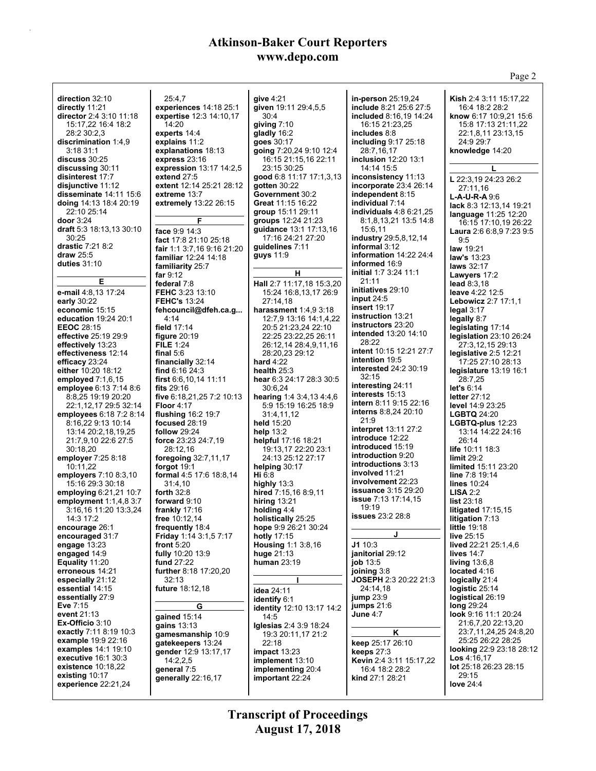Page 2 **direction** 32:10 **directly** 11:21 **director** 2:4 3:10 11:18 15:17,22 16:4 18:2 28:2 30:2,3 **discrimination** 1:4,9 3:18 31:1 **discuss** 30:25 **discussing** 30:11 **disinterest** 17:7 **disjunctive** 11:12 **disseminate** 14:11 15:6 **doing** 14:13 18:4 20:19 22:10 25:14 **door** 3:24 **draft** 5:3 18:13,13 30:10 30:25 **drastic** 7:21 8:2 **draw** 25:5 **duties** 31:10 **E e-mail** 4:8,13 17:24 **early** 30:22 **economic** 15:15 **education** 19:24 20:1 **EEOC** 28:15 **effective** 25:19 29:9 **effectively** 13:23 **effectiveness** 12:14 **efficacy** 23:24 **either** 10:20 18:12 **employed** 7:1,6,15 **employee** 6:13 7:14 8:6 8:8,25 19:19 20:20 22:1,12,17 29:5 32:14 **employees** 6:18 7:2 8:14 8:16,22 9:13 10:14 13:14 20:2,18,19,25 21:7,9,10 22:6 27:5 30:18,20 **employer** 7:25 8:18 10:11,22 **employers** 7:10 8:3,10 15:16 29:3 30:18 **employing** 6:21,21 10:7 **employment** 1:1,4,8 3:7 3:16,16 11:20 13:3,24 14:3 17:2 **encourage** 26:1 **encouraged** 31:7 **engage** 13:23 **engaged** 14:9 **Equality** 11:20 **erroneous** 14:21 **especially** 21:12 **essential** 14:15 **essentially** 27:9 **Eve** 7:15 **event** 21:13 **Ex-Officio** 3:10 **exactly** 7:11 8:19 10:3 **example** 19:9 22:16 **examples** 14:1 19:10 **executive** 16:1 30:3 **existence** 10:18,22 **existing** 10:17 **experience** 22:21,24 25:4,7 **experiences** 14:18 25:1 **expertise** 12:3 14:10,17 14:20 **experts** 14:4 **explains** 11:2 **explanations** 18:13 **express** 23:16 **expression** 13:17 14:2,5 **extend** 27:5 **extent** 12:14 25:21 28:12 **extreme** 13:7 **extremely** 13:22 26:15 **F face** 9:9 14:3 **fact** 17:8 21:10 25:18 **fair** 1:1 3:7,16 9:16 21:20 **familiar** 12:24 14:18 **familiarity** 25:7 **far** 9:12 **federal** 7:8 **FEHC** 3:23 13:10 **FEHC's** 13:24 **fehcouncil@dfeh.ca.g...** 4:14 **field** 17:14 **figure** 20:19 **FILE** 1:24 **final** 5:6 **financially** 32:14 **find** 6:16 24:3 **first** 6:6,10,14 11:11 **fits** 29:16 **five** 6:18,21,25 7:2 10:13 **Floor** 4:17 **flushing** 16:2 19:7 **focused** 28:19 **follow** 29:24 **force** 23:23 24:7,19 28:12,16 **foregoing** 32:7,11,17 **forgot** 19:1 **formal** 4:5 17:6 18:8,14 31:4,10 **forth** 32:8 **forward** 9:10 **frankly** 17:16 **free** 10:12,14 **frequently** 18:4 **Friday** 1:14 3:1,5 7:17 **front** 5:20 **fully** 10:20 13:9 **fund** 27:22 **further** 8:18 17:20,20 32:13 **future** 18:12,18 **G gained** 15:14 **gains** 13:13 **gamesmanship** 10:9 **gatekeepers** 13:24 **gender** 12:9 13:17,17 14:2,2,5 **general** 7:5 **generally** 22:16,17 **give** 4:21 **given** 19:11 29:4,5,5 30:4 **giving** 7:10 **gladly** 16:2 **goes** 30:17 **going** 7:20,24 9:10 12:4 16:15 21:15,16 22:11 23:15 30:25 **good** 6:8 11:17 17:1,3,13 **gotten** 30:22 **Government** 30:2 **Great** 11:15 16:22 **group** 15:11 29:11 **groups** 12:24 21:23 **guidance** 13:1 17:13,16 17:16 24:21 27:20 **guidelines** 7:11 **guys** 11:9 **H Hall** 2:7 11:17,18 15:3,20 15:24 16:8,13,17 26:9 27:14,18 **harassment** 1:4,9 3:18 12:7,9 13:16 14:1,4,22 20:5 21:23,24 22:10 22:25 23:22,25 26:11 26:12,14 28:4,9,11,16 28:20,23 29:12 **hard** 4:22 **health** 25:3 **hear** 6:3 24:17 28:3 30:5 30:6,24 **hearing** 1:4 3:4,13 4:4,6 5:9 15:19 16:25 18:9 31:4,11,12 **held** 15:20 **help** 13:2 **helpful** 17:16 18:21 19:13,17 22:20 23:1 24:13 25:12 27:17 **helping** 30:17 **Hi** 6:8 **highly** 13:3 **hired** 7:15,16 8:9,11 **hiring** 13:21 **holding** 4:4 **holistically** 25:25 **hope** 9:9 26:21 30:24 **hotly** 17:15 **Housing** 1:1 3:8,16 **huge** 21:13 **human** 23:19 **I idea** 24:11 **identify** 6:1 **identity** 12:10 13:17 14:2 14:5 **Iglesias** 2:4 3:9 18:24 19:3 20:11,17 21:2 22:18 **impact** 13:23 **implement** 13:10 **implementing** 20:4 **important** 22:24 **in-person** 25:19,24 **include** 8:21 25:6 27:5 **included** 8:16,19 14:24 16:15 21:23,25 **includes** 8:8 **including** 9:17 25:18 28:7,16,17 **inclusion** 12:20 13:1 14:14 15:5 **inconsistency** 11:13 **incorporate** 23:4 26:14 **independent** 8:15 **individual** 7:14 **individuals** 4:8 6:21,25 8:1,8,13,21 13:5 14:8 15:6,11 **industry** 29:5,8,12,14 **informal** 3:12 **information** 14:22 24:4 **informed** 16:9 **initial** 1:7 3:24 11:1 21:11 **initiatives** 29:10 **input** 24:5 **insert** 19:17 **instruction** 13:21 **instructors** 23:20 **intended** 13:20 14:10 28:22 **intent** 10:15 12:21 27:7 **intention** 19:5 **interested** 24:2 30:19 32:15 **interesting** 24:11 **interests** 15:13 **intern** 8:11 9:15 22:16 **interns** 8:8,24 20:10 21:9 **interpret** 13:11 27:2 **introduce** 12:22 **introduced** 15:19 **introduction** 9:20 **introductions** 3:13 **involved** 11:21 **involvement** 22:23 **issuance** 3:15 29:20 **issue** 7:13 17:14,15 19:19 **issues** 23:2 28:8 **J J1** 10:3 **janitorial** 29:12 **job** 13:5 **joining** 3:8 **JOSEPH** 2:3 20:22 21:3 24:14,18 **jump** 23:9 **jumps** 21:6 **June** 4:7 **K keep** 25:17 26:10 **keeps** 27:3 **Kevin** 2:4 3:11 15:17,22 16:4 18:2 28:2 **kind** 27:1 28:21 **Kish** 2:4 3:11 15:17,22 16:4 18:2 28:2 **know** 6:17 10:9,21 15:6 15:8 17:13 21:11,22 22:1,8,11 23:13,15 24:9 29:7 **knowledge** 14:20 **L L** 22:3,19 24:23 26:2 27:11,16 **L-A-U-R-A** 9:6 **lack** 8:3 12:13,14 19:21 **language** 11:25 12:20 16:15 17:10,19 26:22 **Laura** 2:6 6:8,9 7:23 9:5 9:5 **law** 19:21 **law's** 13:23 **laws** 32:17 **Lawyers** 17:2 **lead** 8:3,18 **leave** 4:22 12:5 **Lebowicz** 2:7 17:1,1 **legal** 3:17 **legally** 8:7 **legislating** 17:14 **legislation** 23:10 26:24 27:3,12,15 29:13 **legislative** 2:5 12:21 17:25 27:10 28:13 **legislature** 13:19 16:1 28:7,25 **let's** 6:14 **letter** 27:12 **level** 14:9 23:25 **LGBTQ** 24:20 **LGBTQ-plus** 12:23 13:14 14:22 24:16 26:14 **life** 10:11 18:3 **limit** 29:2 **limited** 15:11 23:20 **line** 7:8 19:14 **lines** 10:24 **LISA** 2:2 **list** 23:18 **litigated** 17:15,15 **litigation** 7:13 **little** 19:18 **live** 25:15 **lived** 22:21 25:1,4,6 **lives** 14:7 **living** 13:6,8 **located** 4:16 **logically** 21:4 **logistic** 25:14 **logistical** 26:19 **long** 29:24 **look** 9:16 11:1 20:24 21:6,7,20 22:13,20 23:7,11,24,25 24:8,20 25:25 26:22 28:25 **looking** 22:9 23:18 28:12 **Los** 4:16,17 **lot** 25:18 26:23 28:15 29:15 **love** 24:4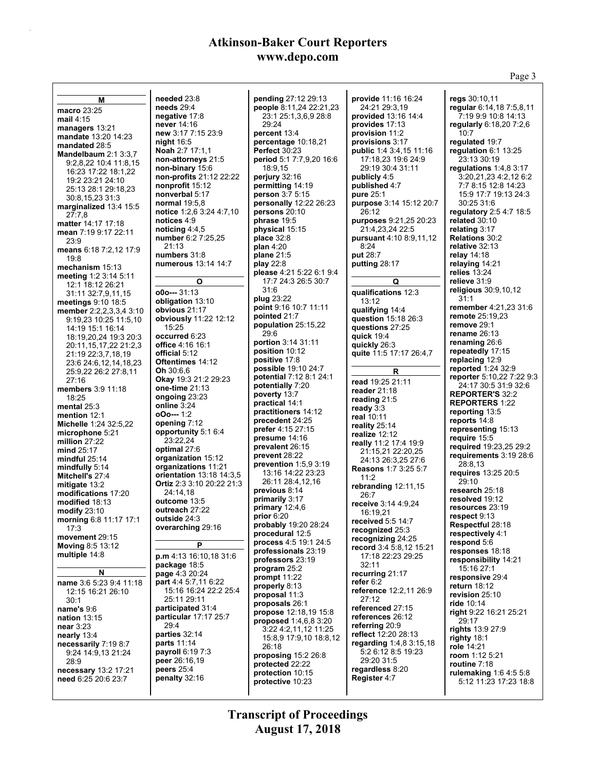Page 3

**M macro** 23:25 **mail** 4:15 **managers** 13:21 **mandate** 13:20 14:23 **mandated** 28:5 **Mandelbaum** 2:1 3:3,7 9:2,8,22 10:4 11:8,15 16:23 17:22 18:1,22 19:2 23:21 24:10 25:13 28:1 29:18,23 30:8,15,23 31:3 **marginalized** 13:4 15:5 27:7,8 **matter** 14:17 17:18 **mean** 7:19 9:17 22:11 23:9 **means** 6:18 7:2,12 17:9 19:8 **mechanism** 15:13 **meeting** 1:2 3:14 5:11 12:1 18:12 26:21 31:11 32:7,9,11,15 **meetings** 9:10 18:5 **member** 2:2,2,3,3,4 3:10 9:19,23 10:25 11:5,10 14:19 15:1 16:14 18:19,20,24 19:3 20:3 20:11,15,17,22 21:2,3 21:19 22:3,7,18,19 23:6 24:6,12,14,18,23 25:9,22 26:2 27:8,11 27:16 **members** 3:9 11:18 18:25 **mental** 25:3 **mention** 12:1 **Michelle** 1:24 32:5,22 **microphone** 5:21 **million** 27:22 **mind** 25:17 **mindful** 25:14 **mindfully** 5:14 **Mitchell's** 27:4 **mitigate** 13:2 **modifications** 17:20 **modified** 18:13 **modify** 23:10 **morning** 6:8 11:17 17:1 17:3 **movement** 29:15 **Moving** 8:5 13:12 **multiple** 14:8 **N name** 3:6 5:23 9:4 11:18 12:15 16:21 26:10 30:1 **name's** 9:6 **nation** 13:15 **near** 3:23 **nearly** 13:4 **necessarily** 7:19 8:7 9:24 14:9,13 21:24 28:9 **necessary** 13:2 17:21 **need** 6:25 20:6 23:7 **needed** 23:8 **needs** 29:4 **negative** 17:8 **never** 14:16 **new** 3:17 7:15 23:9 **night** 16:5 **Noah** 2:7 17:1,1 **non-attorneys** 21:5 **non-binary** 15:6 **non-profits** 21:12 22:22 **nonprofit** 15:12 **nonverbal** 5:17 **normal** 19:5,8 **notice** 1:2,6 3:24 4:7,10 **notices** 4:9 **noticing** 4:4,5 **number** 6:2 7:25,25 21:13 **numbers** 31:8 **numerous** 13:14 14:7 **O o0o---** 31:13 **obligation** 13:10 **obvious** 21:17 **obviously** 11:22 12:12 15:25 **occurred** 6:23 **office** 4:16 16:1 **official** 5:12 **Oftentimes** 14:12 **Oh** 30:6,6 **Okay** 19:3 21:2 29:23 **one-time** 21:13 **ongoing** 23:23 **online** 3:24 **oOo---** 1:2 **opening** 7:12 **opportunity** 5:1 6:4 23:22,24 **optimal** 27:6 **organization** 15:12 **organizations** 11:21 **orientation** 13:18 14:3,5 **Ortiz** 2:3 3:10 20:22 21:3 24:14,18 **outcome** 13:5 **outreach** 27:22 **outside** 24:3 **overarching** 29:16 **P p.m** 4:13 16:10,18 31:6 **package** 18:5 **page** 4:3 20:24 **part** 4:4 5:7,11 6:22 15:16 16:24 22:2 25:4 25:11 29:11 **participated** 31:4 **particular** 17:17 25:7 29:4 **parties** 32:14 **parts** 11:14 **payroll** 6:19 7:3 **peer** 26:16,19 **peers** 25:4 **penalty** 32:16 **pending** 27:12 29:13 **people** 8:11,24 22:21,23 23:1 25:1,3,6,9 28:8 29:24 **percent** 13:4 **percentage** 10:18,21 **Perfect** 30:23 **period** 5:1 7:7,9,20 16:6 18:9,15 **perjury** 32:16 **permitting** 14:19 **person** 3:7 5:15 **personally** 12:22 26:23 **persons** 20:10 **phrase** 19:5 **physical** 15:15 **place** 32:8 **plan** 4:20 **plane** 21:5 **play** 22:8 **please** 4:21 5:22 6:1 9:4 17:7 24:3 26:5 30:7 31:6 **plug** 23:22 **point** 9:16 10:7 11:11 **pointed** 21:7 **population** 25:15,22 29:6 **portion** 3:14 31:11 **position** 10:12 **positive** 17:8 **possible** 19:10 24:7 **potential** 7:12 8:1 24:1 **potentially** 7:20 **poverty** 13:7 **practical** 14:1 **practitioners** 14:12 **precedent** 24:25 **prefer** 4:15 27:15 **presume** 14:16 **prevalent** 26:15 **prevent** 28:22 **prevention** 1:5,9 3:19 13:16 14:22 23:23 26:11 28:4,12,16 **previous** 8:14 **primarily** 3:17 **primary** 12:4,6 **prior** 6:20 **probably** 19:20 28:24 **procedural** 12:5 **process** 4:5 19:1 24:5 **professionals** 23:19 **professors** 23:19 **program** 25:2 **prompt** 11:22 **properly** 8:13 **proposal** 11:3 **proposals** 26:1 **propose** 12:18,19 15:8 **proposed** 1:4,6,8 3:20 3:22 4:2,11,12 11:25 15:8,9 17:9,10 18:8,12 26:18 **proposing** 15:2 26:8 **protected** 22:22 **protection** 10:15 **protective** 10:23 **provide** 11:16 16:24 24:21 29:3,19 **provided** 13:16 14:4 **provides** 17:13 **provision** 11:2 **provisions** 3:17 **public** 1:4 3:4,15 11:16 17:18,23 19:6 24:9 29:19 30:4 31:11 **publicly** 4:5 **published** 4:7 **pure** 25:1 **purpose** 3:14 15:12 20:7 26:12 **purposes** 9:21,25 20:23 21:4,23,24 22:5 **pursuant** 4:10 8:9,11,12 8:24 **put** 28:7 **putting** 28:17 **Q qualifications** 12:3 13:12 **qualifying** 14:4 **question** 15:18 26:3 **questions** 27:25 **quick** 19:4 **quickly** 26:3 **quite** 11:5 17:17 26:4,7 **R read** 19:25 21:11 **reader** 21:18 **reading** 21:5 **ready** 3:3 **real** 10:11 **reality** 25:14 **realize** 12:12 **really** 11:2 17:4 19:9 21:15,21 22:20,25 24:13 26:3,25 27:6 **Reasons** 1:7 3:25 5:7 11:2 **rebranding** 12:11,15 26:7 **receive** 3:14 4:9,24 16:19,21 **received** 5:5 14:7 **recognized** 25:3 **recognizing** 24:25 **record** 3:4 5:8,12 15:21 17:18 22:23 29:25 32:11 **recurring** 21:17 **refer** 6:2 **reference** 12:2,11 26:9 27:12 **referenced** 27:15 **references** 26:12 **referring** 20:9 **reflect** 12:20 28:13 **regarding** 1:4,8 3:15,18 5:2 6:12 8:5 19:23 29:20 31:5 **regardless** 8:20 **Register** 4:7 **regs** 30:10,11 **regular** 6:14,18 7:5,8,11 7:19 9:9 10:8 14:13 **regularly** 6:18,20 7:2,6 10:7 **regulated** 19:7 **regulation** 6:1 13:25 23:13 30:19 **regulations** 1:4,8 3:17 3:20,21,23 4:2,12 6:2 7:7 8:15 12:8 14:23 15:9 17:7 19:13 24:3 30:25 31:6 **regulatory** 2:5 4:7 18:5 **related** 30:10 **relating** 3:17 **Relations** 30:2 **relative** 32:13 **relay** 14:18 **relaying** 14:21 **relies** 13:24 **relieve** 31:9 **religious** 30:9,10,12  $31.1$ **remember** 4:21,23 31:6 **remote** 25:19,23 **remove** 29:1 **rename** 26:13 **renaming** 26:6 **repeatedly** 17:15 **replacing** 12:9 **reported** 1:24 32:9 **reporter** 5:10,22 7:22 9:3 24:17 30:5 31:9 32:6 **REPORTER'S** 32:2 **REPORTERS** 1:22 **reporting** 13:5 **reports** 14:8 **representing** 15:13 **require** 15:5 **required** 19:23,25 29:2 **requirements** 3:19 28:6 28:8,13 **requires** 13:25 20:5 29:10 **research** 25:18 **resolved** 19:12 **resources** 23:19 **respect** 9:13 **Respectful** 28:18 **respectively** 4:1 **respond** 5:6 **responses** 18:18 **responsibility** 14:21 15:16 27:1 **responsive** 29:4 **return** 18:12 **revision** 25:10 **ride** 10:14 **right** 9:22 16:21 25:21 29:17 **rights** 13:9 27:9 **righty** 18:1 **role** 14:21 **room** 1:12 5:21 **routine** 7:18 **rulemaking** 1:6 4:5 5:8 5:12 11:23 17:23 18:8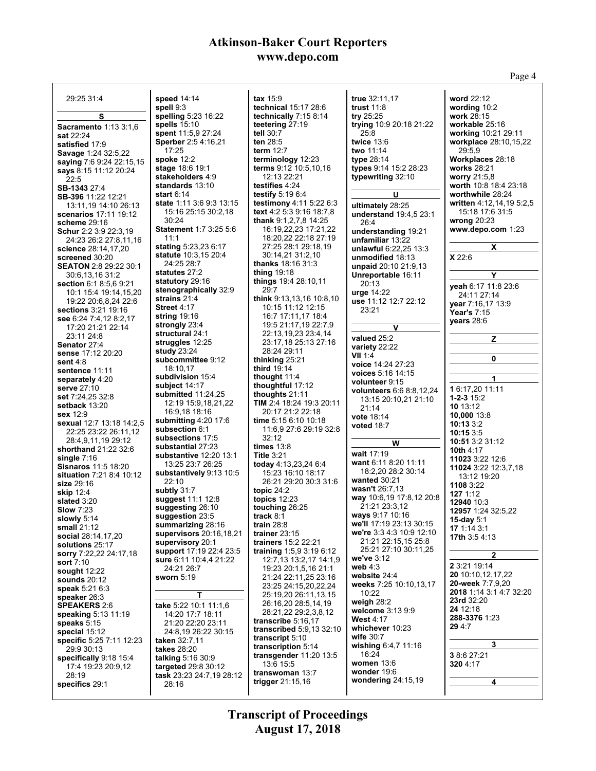|                                             |                                                   |                                                    |                                           | Page 4                                       |
|---------------------------------------------|---------------------------------------------------|----------------------------------------------------|-------------------------------------------|----------------------------------------------|
|                                             |                                                   |                                                    |                                           |                                              |
| 29:25 31:4                                  | speed 14:14<br>spell 9:3                          | tax $15.9$<br>technical 15:17 28:6                 | true 32:11,17<br>trust $11:8$             | word 22:12<br>wording 10:2                   |
| s                                           | spelling 5:23 16:22                               | technically 7:15 8:14                              | try $25:25$                               | work 28:15                                   |
| Sacramento 1:13 3:1,6                       | spells 15:10                                      | teetering 27:19                                    | trying 10:9 20:18 21:22                   | workable 25:16                               |
| sat 22:24                                   | spent 11:5,9 27:24                                | tell 30:7                                          | 25:8                                      | working 10:21 29:11                          |
| satisfied 17:9                              | <b>Sperber</b> 2:5 4:16,21                        | ten 28:5                                           | twice $13.6$                              | workplace 28:10,15,22                        |
| Savage 1:24 32:5,22                         | 17:25                                             | term $12:7$                                        | two 11:14                                 | 29:5.9                                       |
| saying 7:6 9:24 22:15,15                    | <b>spoke</b> 12:2                                 | terminology 12:23<br>terms 9:12 10:5,10,16         | type 28:14<br>types 9:14 15:2 28:23       | Workplaces 28:18                             |
| says 8:15 11:12 20:24                       | <b>stage 18:6 19:1</b><br>stakeholders 4:9        | 12:13 22:21                                        | typewriting 32:10                         | <b>works</b> 28:21<br>worry 21:5,8           |
| 22:5                                        | standards 13:10                                   | testifies 4:24                                     |                                           | worth 10:8 18:4 23:18                        |
| SB-1343 27:4<br>SB-396 11:22 12:21          | <b>start</b> 6:14                                 | testify $5.196.4$                                  | U                                         | worthwhile 28:24                             |
| 13:11.19 14:10 26:13                        | <b>state</b> 1:11 3:6 9:3 13:15                   | <b>testimony</b> 4:11 5:22 6:3                     | ultimately 28:25                          | written 4:12,14,19 5:2,5                     |
| <b>scenarios</b> 17:11 19:12                | 15:16 25:15 30:2,18                               | <b>text</b> 4:2 5:3 9:16 18:7,8                    | understand 19:4,5 23:1                    | 15:18 17:6 31:5                              |
| scheme $29:16$                              | 30:24                                             | thank 9:1,2,7,8 14:25                              | 26:4                                      | wrong $20:23$                                |
| <b>Schur</b> 2:2 3:9 22:3,19                | <b>Statement 1:7 3:25 5:6</b><br>11:1             | 16:19,22,23 17:21,22<br>18:20,22 22:18 27:19       | understanding 19:21                       | www.depo.com 1:23                            |
| 24:23 26:2 27:8,11,16                       | stating 5:23,23 6:17                              | 27:25 28:1 29:18,19                                | unfamiliar 13:22                          | X                                            |
| science 28:14,17,20<br>screened 30:20       | <b>statute</b> 10:3,15 20:4                       | 30:14,21 31:2,10                                   | unlawful 6:22,25 13:3<br>unmodified 18:13 | X 22:6                                       |
| <b>SEATON 2:8 29:22 30:1</b>                | 24:25 28:7                                        | <b>thanks</b> $18:1631:3$                          | unpaid 20:10 21:9,13                      |                                              |
| 30:6,13,16 31:2                             | statutes 27:2                                     | thing $19:18$                                      | Unreportable 16:11                        | Y                                            |
| section 6:1 8:5,6 9:21                      | statutory 29:16                                   | things 19:4 28:10,11                               | 20:13                                     | yeah 6:17 11:8 23:6                          |
| 10:1 15:4 19:14,15,20                       | stenographically 32:9                             | 29:7                                               | urge $14:22$                              | 24:11 27:14                                  |
| 19:22 20:6,8,24 22:6                        | strains 21:4<br><b>Street 4:17</b>                | think 9:13,13,16 10:8,10<br>10:15 11:12 12:15      | use 11:12 12:7 22:12                      | year 7:16,17 13:9                            |
| sections 3:21 19:16                         | <b>string</b> 19:16                               | 16:7 17:11,17 18:4                                 | 23:21                                     | Year's 7:15                                  |
| see 6:24 7:4,12 8:2,17<br>17:20 21:21 22:14 | strongly 23:4                                     | 19:5 21:17,19 22:7,9                               | $\mathsf{v}$                              | years 28:6                                   |
| 23:11 24:8                                  | structural 24:1                                   | 22:13.19.23 23:4.14                                | valued 25:2                               | z                                            |
| Senator 27:4                                | struggles 12:25                                   | 23:17,18 25:13 27:16                               | variety 22:22                             |                                              |
| sense 17:12 20:20                           | <b>study</b> 23:24                                | 28:24 29:11                                        | <b>VII</b> 1:4                            | 0                                            |
| sent $4:8$                                  | subcommittee 9:12<br>18:10,17                     | thinking $25:21$<br>third 19:14                    | voice 14:24 27:23                         |                                              |
| sentence 11:11                              | subdivision 15:4                                  | thought $11:4$                                     | voices 5:16 14:15                         | 1                                            |
| separately 4:20<br>serve 27:10              | subject 14:17                                     | thoughtful 17:12                                   | volunteer 9:15                            |                                              |
| set 7:24,25 32:8                            | submitted $11:24,25$                              | thoughts $21:11$                                   | <b>volunteers</b> 6:6 8:8,12,24           | 16:17,20 11:11<br>$1 - 2 - 315.2$            |
| setback 13:20                               | 12:19 15:9,18,21,22                               | <b>TIM</b> 2:4 18:24 19:3 20:11                    | 13:15 20:10,21 21:10<br>21:14             | 10 13:12                                     |
| sex 12:9                                    | 16.9.18 18:16                                     | 20:17 21:2 22:18                                   | <b>vote 18:14</b>                         | 10,000 13:8                                  |
| sexual 12:7 13:18 14:2,5                    | submitting $4:20$ 17:6                            | time 5:15 6:10 10:18                               | <b>voted 18:7</b>                         | 10:13 3:2                                    |
| 22:25 23:22 26:11,12                        | subsection 6:1<br>subsections 17:5                | 11:6,9 27:6 29:19 32:8<br>32:12                    |                                           | 10:153.5                                     |
| 28:4,9,11,19 29:12                          | substantial 27:23                                 | times $13.8$                                       | W                                         | 10:51 3:2 31:12                              |
| shorthand 21:22 32:6<br>single $7:16$       | substantive 12:20 13:1                            | <b>Title 3:21</b>                                  | wait 17:19                                | <b>10th 4:17</b><br>11023 3:22 12:6          |
| <b>Sisnaros 11:5 18:20</b>                  | 13:25 23:7 26:25                                  | today 4:13,23,24 6:4                               | want 6:11 8:20 11:11                      | 11024 3:22 12:3,7,18                         |
| situation 7:21 8:4 10:12                    | substantively 9:13 10:5                           | 15:23 16:10 18:17                                  | 18:2.20 28:2 30:14                        | 13:12 19:20                                  |
| size 29:16                                  | 22:10                                             | 26:21 29:20 30:3 31:6                              | wanted $30:21$<br>wasn't 26:7,13          | 1108 3:22                                    |
| <b>skip</b> 12:4                            | subtly 31:7<br>suggest 11:1 12:8                  | topic $24:2$<br>topics $12:23$                     | way 10:6,19 17:8,12 20:8                  | 127 1:12                                     |
| slated 3:20                                 | suggesting 26:10                                  | touching 26:25                                     | 21:21 23:3,12                             | 12940 10:3                                   |
| <b>Slow 7:23</b><br>slowly 5:14             | suggestion 23:5                                   | track 8:1                                          | ways 9:17 10:16                           | 12957 1:24 32:5,22                           |
| small 21:12                                 | summarizing 28:16                                 | train $28:8$                                       | we'll 17:19 23:13 30:15                   | 15-day $5:1$<br>17 1 14 3 1                  |
| social 28:14,17,20                          | supervisors 20:16,18,21                           | trainer $23:15$                                    | we're 3:3 4:3 10:9 12:10                  | <b>17th</b> 3:5 4:13                         |
| solutions 25:17                             | supervisory 20:1                                  | trainers 15:2 22:21                                | 21:21 22:15,15 25:8                       |                                              |
| sorry 7:22,22 24:17,18                      | support 17:19 22:4 23:5<br>sure 6:11 10:4,4 21:22 | training $1.5,93.196.12$<br>12:7,13 13:2,17 14:1,9 | 25:21 27:10 30:11,25<br>we've 3:12        | $\mathbf{2}$                                 |
| <b>sort</b> 7:10                            | 24:21 26:7                                        | 19:23 20:1,5,16 21:1                               | web $4:3$                                 | 2 3 21 19 14                                 |
| sought $12:22$<br><b>sounds</b> 20:12       | sworn 5:19                                        | 21:24 22:11,25 23:16                               | website 24:4                              | 20 10:10,12,17,22                            |
| speak 5:21 6:3                              |                                                   | 23:25 24:15,20,22,24                               | weeks 7:25 10:10,13,17                    | 20-week 7:7,9,20                             |
| speaker 26:3                                | т                                                 | 25:19,20 26:11,13,15                               | 10:22                                     | 2018 1:14 3:1 4:7 32:20<br><b>23rd</b> 32:20 |
| <b>SPEAKERS 2:6</b>                         | take 5:22 10:1 11:1,6                             | 26:16,20 28:5,14,19                                | weigh 28:2<br>welcome 3:13 9:9            | 24 12:18                                     |
| speaking 5:13 11:19                         | 14:20 17:7 18:11                                  | 28:21.22 29:2.3.8.12<br>transcribe 5:16,17         | <b>West 4:17</b>                          | 288-3376 1:23                                |
| speaks 5:15                                 | 21:20 22:20 23:11                                 | transcribed 5:9,13 32:10                           | whichever 10:23                           | 29 4:7                                       |
| special 15:12<br>specific 5:25 7:11 12:23   | 24:8,19 26:22 30:15<br>taken $32:7,11$            | transcript 5:10                                    | wife $30:7$                               |                                              |
| 29:9 30:13                                  | takes 28:20                                       | transcription 5:14                                 | wishing 6:4,7 11:16                       | 3                                            |
| specifically 9:18 15:4                      | talking $5.1630.9$                                | transgender $11:20$ $13:5$                         | 16:24                                     | 3 8 6 27:21                                  |
| 17:4 19:23 20:9,12                          | targeted 29:8 30:12                               | 13:6 15:5                                          | women $13.6$<br>wonder 19:6               | 320 4:17                                     |
| 28:19                                       | task 23:23 24:7,19 28:12                          | transwoman 13:7<br>trigger $21:15,16$              | wondering $24:15,19$                      | 4                                            |
| specifics 29:1                              | 28:16                                             |                                                    |                                           |                                              |
|                                             |                                                   |                                                    |                                           |                                              |